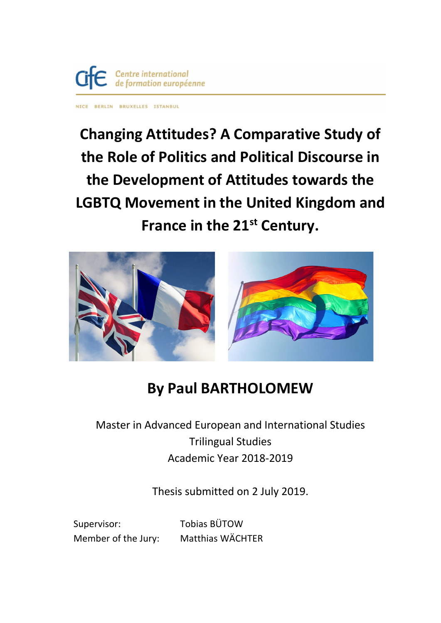

NICE BERLIN BRUXELLES ISTANBUL

**Changing Attitudes? A Comparative Study of the Role of Politics and Political Discourse in the Development of Attitudes towards the LGBTQ Movement in the United Kingdom and France in the 21st Century.**



# **By Paul BARTHOLOMEW**

# Master in Advanced European and International Studies Trilingual Studies Academic Year 2018-2019

Thesis submitted on 2 July 2019.

Supervisor: Tobias BÜTOW

Member of the Jury: Matthias WÄCHTER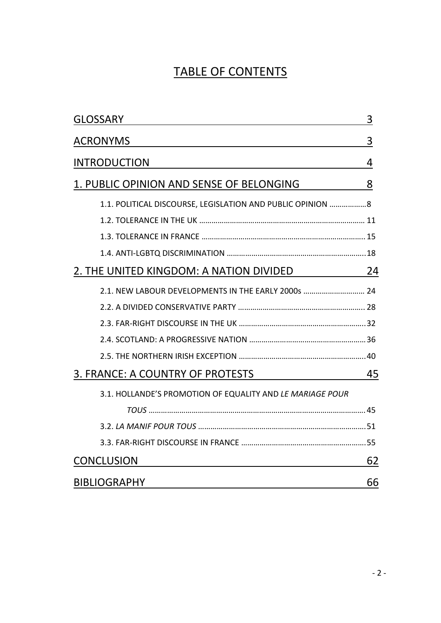# TABLE OF CONTENTS

| <b>GLOSSARY</b>                                             | 3 |
|-------------------------------------------------------------|---|
| <b>ACRONYMS</b>                                             | 3 |
| <b>INTRODUCTION</b>                                         |   |
| 1. PUBLIC OPINION AND SENSE OF BELONGING                    | 8 |
| 1.1. POLITICAL DISCOURSE, LEGISLATION AND PUBLIC OPINION  8 |   |
|                                                             |   |
|                                                             |   |
|                                                             |   |
| <u>2. THE UNITED KINGDOM: A NATION DIVIDED 24</u>           |   |
| 2.1. NEW LABOUR DEVELOPMENTS IN THE EARLY 2000s  24         |   |
|                                                             |   |
|                                                             |   |
|                                                             |   |
|                                                             |   |
| 3. FRANCE: A COUNTRY OF PROTESTS                            |   |
| 3.1. HOLLANDE'S PROMOTION OF EQUALITY AND LE MARIAGE POUR   |   |
|                                                             |   |
|                                                             |   |
|                                                             |   |
| <b>CONCLUSION</b>                                           |   |
| <b>BIBLIOGRAPHY</b>                                         |   |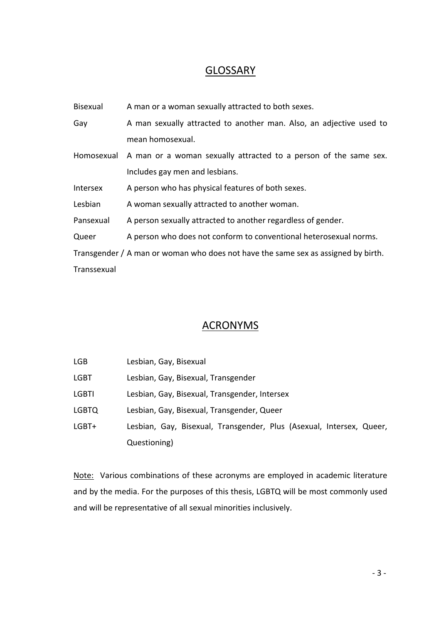## **GLOSSARY**

| <b>Bisexual</b>                                                                   | A man or a woman sexually attracted to both sexes.                          |  |
|-----------------------------------------------------------------------------------|-----------------------------------------------------------------------------|--|
| Gay                                                                               | A man sexually attracted to another man. Also, an adjective used to         |  |
|                                                                                   | mean homosexual.                                                            |  |
|                                                                                   | Homosexual A man or a woman sexually attracted to a person of the same sex. |  |
|                                                                                   | Includes gay men and lesbians.                                              |  |
| Intersex                                                                          | A person who has physical features of both sexes.                           |  |
| Lesbian                                                                           | A woman sexually attracted to another woman.                                |  |
| Pansexual                                                                         | A person sexually attracted to another regardless of gender.                |  |
| Queer                                                                             | A person who does not conform to conventional heterosexual norms.           |  |
| Transgender / A man or woman who does not have the same sex as assigned by birth. |                                                                             |  |
| Transsexual                                                                       |                                                                             |  |

### **ACRONYMS**

| LGB   | Lesbian, Gay, Bisexual                                               |
|-------|----------------------------------------------------------------------|
| LGBT  | Lesbian, Gay, Bisexual, Transgender                                  |
| LGBTI | Lesbian, Gay, Bisexual, Transgender, Intersex                        |
| LGBTQ | Lesbian, Gay, Bisexual, Transgender, Queer                           |
| LGBT+ | Lesbian, Gay, Bisexual, Transgender, Plus (Asexual, Intersex, Queer, |
|       | Questioning)                                                         |

Note: Various combinations of these acronyms are employed in academic literature and by the media. For the purposes of this thesis, LGBTQ will be most commonly used and will be representative of all sexual minorities inclusively.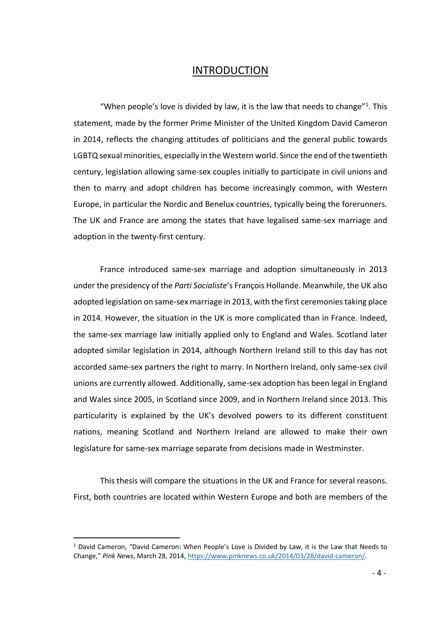#### INTRODUCTION

"When people's love is divided by law, it is the law that needs to change"<sup>1</sup>. This statement, made by the former Prime Minister of the United Kingdom David Cameron in 2014, reflects the changing attitudes of politicians and the general public towards LGBTQ sexual minorities, especially in the Western world. Since the end of the twentieth century, legislation allowing same-sex couples initially to participate in civil unions and then to marry and adopt children has become increasingly common, with Western Europe, in particular the Nordic and Benelux countries, typically being the forerunners. The UK and France are among the states that have legalised same-sex marriage and adoption in the twenty-first century.

France introduced same-sex marriage and adoption simultaneously in 2013 under the presidency of the *Parti Socialiste*'s François Hollande. Meanwhile, the UK also adopted legislation on same-sex marriage in 2013, with the first ceremonies taking place in 2014. However, the situation in the UK is more complicated than in France. Indeed, the same-sex marriage law initially applied only to England and Wales. Scotland later adopted similar legislation in 2014, although Northern Ireland still to this day has not accorded same-sex partners the right to marry. In Northern Ireland, only same-sex civil unions are currently allowed. Additionally, same-sex adoption has been legal in England and Wales since 2005, in Scotland since 2009, and in Northern Ireland since 2013. This particularity is explained by the UK's devolved powers to its different constituent nations, meaning Scotland and Northern Ireland are allowed to make their own legislature for same-sex marriage separate from decisions made in Westminster.

This thesis will compare the situations in the UK and France for several reasons. First, both countries are located within Western Europe and both are members of the

 <sup>1</sup> David Cameron, "David Cameron: When People's Love is Divided by Law, it is the Law that Needs to Change," *Pink News*, March 28, 2014, https://www.pinknews.co.uk/2014/03/28/david-cameron/.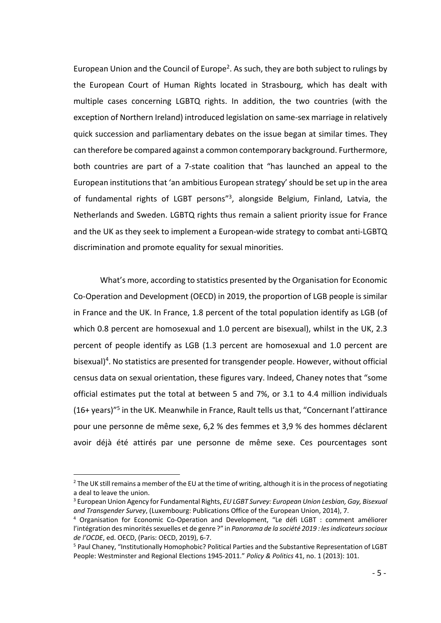European Union and the Council of Europe<sup>2</sup>. As such, they are both subject to rulings by the European Court of Human Rights located in Strasbourg, which has dealt with multiple cases concerning LGBTQ rights. In addition, the two countries (with the exception of Northern Ireland) introduced legislation on same-sex marriage in relatively quick succession and parliamentary debates on the issue began at similar times. They can therefore be compared against a common contemporary background. Furthermore, both countries are part of a 7-state coalition that "has launched an appeal to the European institutions that 'an ambitious European strategy' should be set up in the area of fundamental rights of LGBT persons"3, alongside Belgium, Finland, Latvia, the Netherlands and Sweden. LGBTQ rights thus remain a salient priority issue for France and the UK as they seek to implement a European-wide strategy to combat anti-LGBTQ discrimination and promote equality for sexual minorities.

What's more, according to statistics presented by the Organisation for Economic Co-Operation and Development (OECD) in 2019, the proportion of LGB people is similar in France and the UK. In France, 1.8 percent of the total population identify as LGB (of which 0.8 percent are homosexual and 1.0 percent are bisexual), whilst in the UK, 2.3 percent of people identify as LGB (1.3 percent are homosexual and 1.0 percent are bisexual)<sup>4</sup>. No statistics are presented for transgender people. However, without official census data on sexual orientation, these figures vary. Indeed, Chaney notes that "some official estimates put the total at between 5 and 7%, or 3.1 to 4.4 million individuals (16+ years)"5 in the UK. Meanwhile in France, Rault tells us that, "Concernant l'attirance pour une personne de même sexe, 6,2 % des femmes et 3,9 % des hommes déclarent avoir déjà été attirés par une personne de même sexe. Ces pourcentages sont

 $<sup>2</sup>$  The UK still remains a member of the EU at the time of writing, although it is in the process of negotiating</sup> a deal to leave the union.

<sup>3</sup> European Union Agency for Fundamental Rights, *EU LGBT Survey: European Union Lesbian, Gay, Bisexual and Transgender Survey*, (Luxembourg: Publications Office of the European Union, 2014), 7.

<sup>4</sup> Organisation for Economic Co-Operation and Development, "Le défi LGBT : comment améliorer l'intégration des minorités sexuelles et de genre ?" in *Panorama de la société 2019 : les indicateurs sociaux de l'OCDE*, ed. OECD, (Paris: OECD, 2019), 6-7.

<sup>5</sup> Paul Chaney, "Institutionally Homophobic? Political Parties and the Substantive Representation of LGBT People: Westminster and Regional Elections 1945-2011." *Policy & Politics* 41, no. 1 (2013): 101.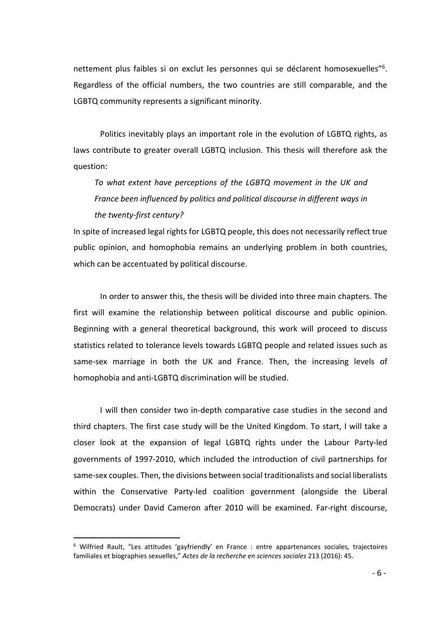nettement plus faibles si on exclut les personnes qui se déclarent homosexuelles"6. Regardless of the official numbers, the two countries are still comparable, and the LGBTQ community represents a significant minority.

Politics inevitably plays an important role in the evolution of LGBTQ rights, as laws contribute to greater overall LGBTQ inclusion. This thesis will therefore ask the question:

*To what extent have perceptions of the LGBTQ movement in the UK and France been influenced by politics and political discourse in different ways in the twenty-first century?*

In spite of increased legal rights for LGBTQ people, this does not necessarily reflect true public opinion, and homophobia remains an underlying problem in both countries, which can be accentuated by political discourse.

In order to answer this, the thesis will be divided into three main chapters. The first will examine the relationship between political discourse and public opinion. Beginning with a general theoretical background, this work will proceed to discuss statistics related to tolerance levels towards LGBTQ people and related issues such as same-sex marriage in both the UK and France. Then, the increasing levels of homophobia and anti-LGBTQ discrimination will be studied.

I will then consider two in-depth comparative case studies in the second and third chapters. The first case study will be the United Kingdom. To start, I will take a closer look at the expansion of legal LGBTQ rights under the Labour Party-led governments of 1997-2010, which included the introduction of civil partnerships for same-sex couples. Then, the divisions between social traditionalists and social liberalists within the Conservative Party-led coalition government (alongside the Liberal Democrats) under David Cameron after 2010 will be examined. Far-right discourse,

 <sup>6</sup> Wilfried Rault, "Les attitudes 'gayfriendly' en France : entre appartenances sociales, trajectoires familiales et biographies sexuelles," *Actes de la recherche en sciences sociales* 213 (2016): 45.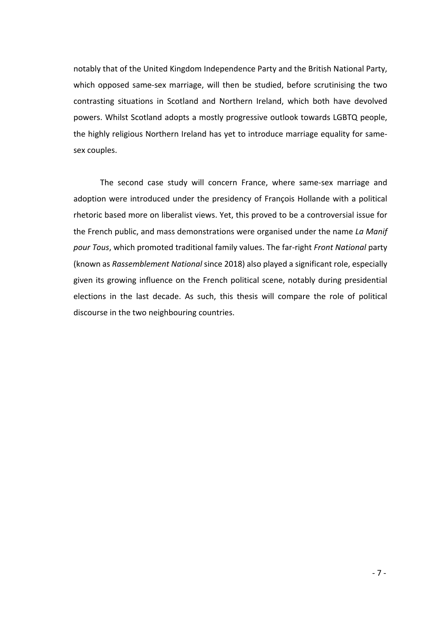notably that of the United Kingdom Independence Party and the British National Party, which opposed same-sex marriage, will then be studied, before scrutinising the two contrasting situations in Scotland and Northern Ireland, which both have devolved powers. Whilst Scotland adopts a mostly progressive outlook towards LGBTQ people, the highly religious Northern Ireland has yet to introduce marriage equality for samesex couples.

The second case study will concern France, where same-sex marriage and adoption were introduced under the presidency of François Hollande with a political rhetoric based more on liberalist views. Yet, this proved to be a controversial issue for the French public, and mass demonstrations were organised under the name *La Manif pour Tous*, which promoted traditional family values. The far-right *Front National* party (known as *Rassemblement National* since 2018) also played a significant role, especially given its growing influence on the French political scene, notably during presidential elections in the last decade. As such, this thesis will compare the role of political discourse in the two neighbouring countries.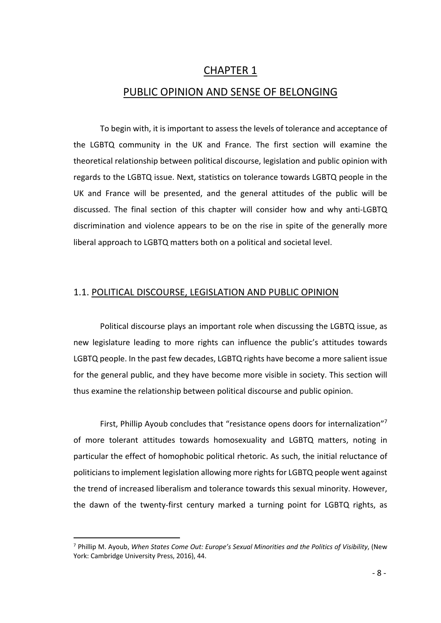### CHAPTER 1

#### PUBLIC OPINION AND SENSE OF BELONGING

To begin with, it is important to assess the levels of tolerance and acceptance of the LGBTQ community in the UK and France. The first section will examine the theoretical relationship between political discourse, legislation and public opinion with regards to the LGBTQ issue. Next, statistics on tolerance towards LGBTQ people in the UK and France will be presented, and the general attitudes of the public will be discussed. The final section of this chapter will consider how and why anti-LGBTQ discrimination and violence appears to be on the rise in spite of the generally more liberal approach to LGBTQ matters both on a political and societal level.

#### 1.1. POLITICAL DISCOURSE, LEGISLATION AND PUBLIC OPINION

Political discourse plays an important role when discussing the LGBTQ issue, as new legislature leading to more rights can influence the public's attitudes towards LGBTQ people. In the past few decades, LGBTQ rights have become a more salient issue for the general public, and they have become more visible in society. This section will thus examine the relationship between political discourse and public opinion.

First, Phillip Ayoub concludes that "resistance opens doors for internalization"7 of more tolerant attitudes towards homosexuality and LGBTQ matters, noting in particular the effect of homophobic political rhetoric. As such, the initial reluctance of politicians to implement legislation allowing more rights for LGBTQ people went against the trend of increased liberalism and tolerance towards this sexual minority. However, the dawn of the twenty-first century marked a turning point for LGBTQ rights, as

 <sup>7</sup> Phillip M. Ayoub, *When States Come Out: Europe's Sexual Minorities and the Politics of Visibility*, (New York: Cambridge University Press, 2016), 44.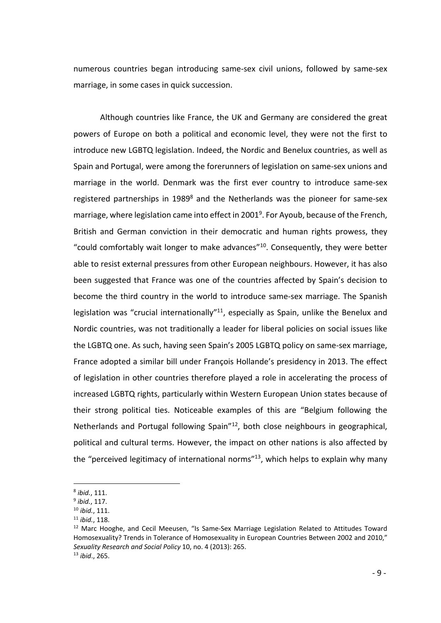numerous countries began introducing same-sex civil unions, followed by same-sex marriage, in some cases in quick succession.

Although countries like France, the UK and Germany are considered the great powers of Europe on both a political and economic level, they were not the first to introduce new LGBTQ legislation. Indeed, the Nordic and Benelux countries, as well as Spain and Portugal, were among the forerunners of legislation on same-sex unions and marriage in the world. Denmark was the first ever country to introduce same-sex registered partnerships in 1989 $^8$  and the Netherlands was the pioneer for same-sex marriage, where legislation came into effect in 2001<sup>9</sup>. For Ayoub, because of the French, British and German conviction in their democratic and human rights prowess, they "could comfortably wait longer to make advances"10. Consequently, they were better able to resist external pressures from other European neighbours. However, it has also been suggested that France was one of the countries affected by Spain's decision to become the third country in the world to introduce same-sex marriage. The Spanish legislation was "crucial internationally"<sup>11</sup>, especially as Spain, unlike the Benelux and Nordic countries, was not traditionally a leader for liberal policies on social issues like the LGBTQ one. As such, having seen Spain's 2005 LGBTQ policy on same-sex marriage, France adopted a similar bill under François Hollande's presidency in 2013. The effect of legislation in other countries therefore played a role in accelerating the process of increased LGBTQ rights, particularly within Western European Union states because of their strong political ties. Noticeable examples of this are "Belgium following the Netherlands and Portugal following Spain"<sup>12</sup>, both close neighbours in geographical, political and cultural terms. However, the impact on other nations is also affected by the "perceived legitimacy of international norms"<sup>13</sup>, which helps to explain why many

 <sup>8</sup> *ibid.*, 111.

<sup>9</sup> *ibid.*, 117.

<sup>10</sup> *ibid.*, 111.

<sup>11</sup> *ibid.*, 118.

<sup>&</sup>lt;sup>12</sup> Marc Hooghe, and Cecil Meeusen, "Is Same-Sex Marriage Legislation Related to Attitudes Toward Homosexuality? Trends in Tolerance of Homosexuality in European Countries Between 2002 and 2010," *Sexuality Research and Social Policy* 10, no. 4 (2013): 265. <sup>13</sup> *ibid*., 265.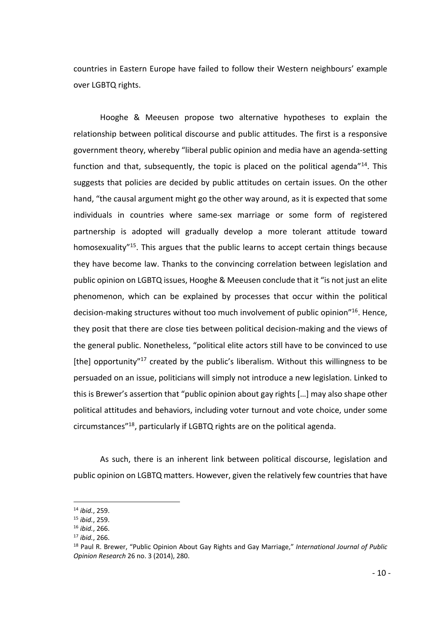countries in Eastern Europe have failed to follow their Western neighbours' example over LGBTQ rights.

Hooghe & Meeusen propose two alternative hypotheses to explain the relationship between political discourse and public attitudes. The first is a responsive government theory, whereby "liberal public opinion and media have an agenda-setting function and that, subsequently, the topic is placed on the political agenda<sup> $n_{14}$ </sup>. This suggests that policies are decided by public attitudes on certain issues. On the other hand, "the causal argument might go the other way around, as it is expected that some individuals in countries where same-sex marriage or some form of registered partnership is adopted will gradually develop a more tolerant attitude toward homosexuality<sup>"15</sup>. This argues that the public learns to accept certain things because they have become law. Thanks to the convincing correlation between legislation and public opinion on LGBTQ issues, Hooghe & Meeusen conclude that it "is not just an elite phenomenon, which can be explained by processes that occur within the political decision-making structures without too much involvement of public opinion"16. Hence, they posit that there are close ties between political decision-making and the views of the general public. Nonetheless, "political elite actors still have to be convinced to use [the] opportunity<sup>"17</sup> created by the public's liberalism. Without this willingness to be persuaded on an issue, politicians will simply not introduce a new legislation. Linked to this is Brewer's assertion that "public opinion about gay rights […] may also shape other political attitudes and behaviors, including voter turnout and vote choice, under some circumstances"18, particularly if LGBTQ rights are on the political agenda.

As such, there is an inherent link between political discourse, legislation and public opinion on LGBTQ matters. However, given the relatively few countries that have

 <sup>14</sup> *ibid.*, 259.

<sup>15</sup> *ibid.*, 259.

<sup>16</sup> *ibid.*, 266.

<sup>17</sup> *ibid.*, 266.

<sup>18</sup> Paul R. Brewer, "Public Opinion About Gay Rights and Gay Marriage," *International Journal of Public Opinion Research* 26 no. 3 (2014), 280.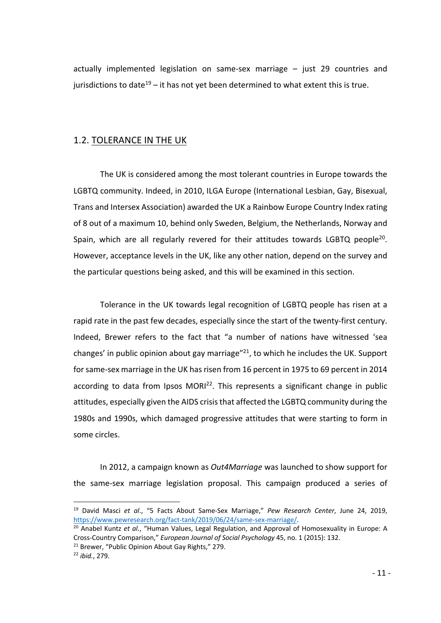actually implemented legislation on same-sex marriage – just 29 countries and jurisdictions to date<sup>19</sup> – it has not yet been determined to what extent this is true.

#### 1.2. TOLERANCE IN THE UK

The UK is considered among the most tolerant countries in Europe towards the LGBTQ community. Indeed, in 2010, ILGA Europe (International Lesbian, Gay, Bisexual, Trans and Intersex Association) awarded the UK a Rainbow Europe Country Index rating of 8 out of a maximum 10, behind only Sweden, Belgium, the Netherlands, Norway and Spain, which are all regularly revered for their attitudes towards LGBTQ people<sup>20</sup>. However, acceptance levels in the UK, like any other nation, depend on the survey and the particular questions being asked, and this will be examined in this section.

Tolerance in the UK towards legal recognition of LGBTQ people has risen at a rapid rate in the past few decades, especially since the start of the twenty-first century. Indeed, Brewer refers to the fact that "a number of nations have witnessed 'sea changes' in public opinion about gay marriage $"21$ , to which he includes the UK. Support for same-sex marriage in the UK has risen from 16 percent in 1975 to 69 percent in 2014 according to data from Ipsos  $MORI<sup>22</sup>$ . This represents a significant change in public attitudes, especially given the AIDS crisis that affected the LGBTQ community during the 1980s and 1990s, which damaged progressive attitudes that were starting to form in some circles.

In 2012, a campaign known as *Out4Marriage* was launched to show support for the same-sex marriage legislation proposal. This campaign produced a series of

 <sup>19</sup> David Masci *et al*., "5 Facts About Same-Sex Marriage," *Pew Research Center*, June 24, 2019, https://www.pewresearch.org/fact-tank/2019/06/24/same-sex-marriage/.

<sup>20</sup> Anabel Kuntz *et al.*, "Human Values, Legal Regulation, and Approval of Homosexuality in Europe: A Cross-Country Comparison," *European Journal of Social Psychology* 45, no. 1 (2015): 132.

<sup>&</sup>lt;sup>21</sup> Brewer, "Public Opinion About Gay Rights," 279.

<sup>22</sup> *ibid.*, 279.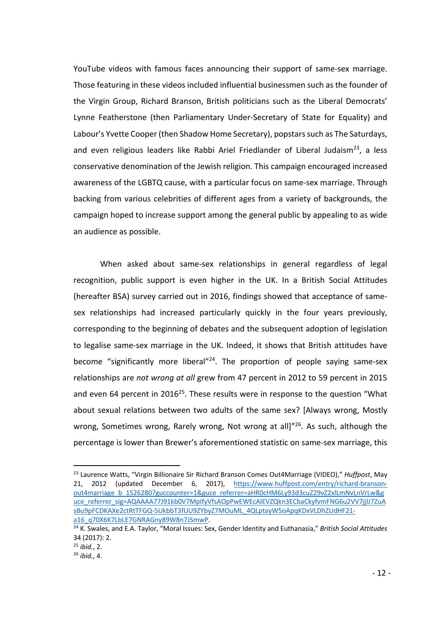YouTube videos with famous faces announcing their support of same-sex marriage. Those featuring in these videos included influential businessmen such as the founder of the Virgin Group, Richard Branson, British politicians such as the Liberal Democrats' Lynne Featherstone (then Parliamentary Under-Secretary of State for Equality) and Labour's Yvette Cooper (then Shadow Home Secretary), popstars such as The Saturdays, and even religious leaders like Rabbi Ariel Friedlander of Liberal Judaism<sup>23</sup>, a less conservative denomination of the Jewish religion. This campaign encouraged increased awareness of the LGBTQ cause, with a particular focus on same-sex marriage. Through backing from various celebrities of different ages from a variety of backgrounds, the campaign hoped to increase support among the general public by appealing to as wide an audience as possible.

When asked about same-sex relationships in general regardless of legal recognition, public support is even higher in the UK. In a British Social Attitudes (hereafter BSA) survey carried out in 2016, findings showed that acceptance of samesex relationships had increased particularly quickly in the four years previously, corresponding to the beginning of debates and the subsequent adoption of legislation to legalise same-sex marriage in the UK. Indeed, it shows that British attitudes have become "significantly more liberal"<sup>24</sup>. The proportion of people saying same-sex relationships are *not wrong at all* grew from 47 percent in 2012 to 59 percent in 2015 and even 64 percent in 2016<sup>25</sup>. These results were in response to the question "What about sexual relations between two adults of the same sex? [Always wrong, Mostly wrong, Sometimes wrong, Rarely wrong, Not wrong at all]"<sup>26</sup>. As such, although the percentage is lower than Brewer's aforementioned statistic on same-sex marriage, this

 <sup>23</sup> Laurence Watts, "Virgin Billionaire Sir Richard Branson Comes Out4Marriage (VIDEO)," *Huffpost*, May 21, 2012 (updated December 6, 2017), https://www.huffpost.com/entry/richard-bransonout4marriage\_b\_1526280?guccounter=1&guce\_referrer=aHR0cHM6Ly93d3cuZ29vZ2xlLmNvLnVrLw&g uce\_referrer\_sig=AQAAAA77J91kb0V7MpIfyVfsAOpPwEWEcAlEVZQkn3ECbaCkyfvmFNG6u2VV7jjlJ7ZuA sBu9pFCDKAXe2ctRtTFGQ-5UkbbT3fUU9ZYbyZ7MOuML\_4QLptayW5oApqKDxVLDhZUdHF21 a16\_q70X6K7LbLE7GNRAGny89W8n7JSmwP.

<sup>24</sup> K. Swales, and E.A. Taylor, "Moral Issues: Sex, Gender Identity and Euthanasia," *British Social Attitudes* 34 (2017): 2.

<sup>25</sup> *ibid.*, 2.

<sup>26</sup> *ibid.*, 4.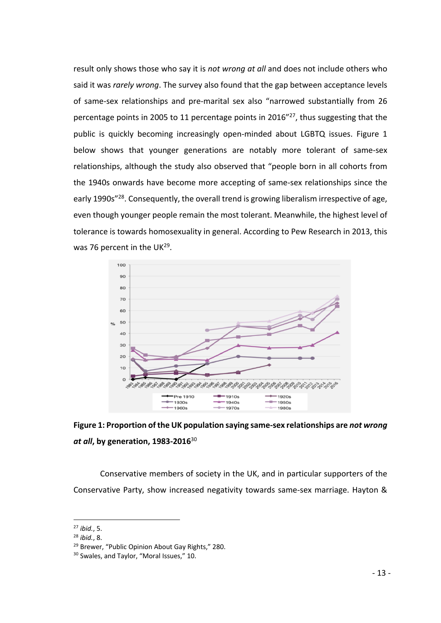result only shows those who say it is *not wrong at all* and does not include others who said it was *rarely wrong*. The survey also found that the gap between acceptance levels of same-sex relationships and pre-marital sex also "narrowed substantially from 26 percentage points in 2005 to 11 percentage points in 2016"27, thus suggesting that the public is quickly becoming increasingly open-minded about LGBTQ issues. Figure 1 below shows that younger generations are notably more tolerant of same-sex relationships, although the study also observed that "people born in all cohorts from the 1940s onwards have become more accepting of same-sex relationships since the early 1990s"<sup>28</sup>. Consequently, the overall trend is growing liberalism irrespective of age, even though younger people remain the most tolerant. Meanwhile, the highest level of tolerance is towards homosexuality in general. According to Pew Research in 2013, this was 76 percent in the UK<sup>29</sup>.





Conservative members of society in the UK, and in particular supporters of the Conservative Party, show increased negativity towards same-sex marriage. Hayton &

 <sup>27</sup> *ibid.*, 5.

<sup>28</sup> *ibid.*, 8.

<sup>&</sup>lt;sup>29</sup> Brewer, "Public Opinion About Gay Rights," 280.

<sup>&</sup>lt;sup>30</sup> Swales, and Taylor, "Moral Issues," 10.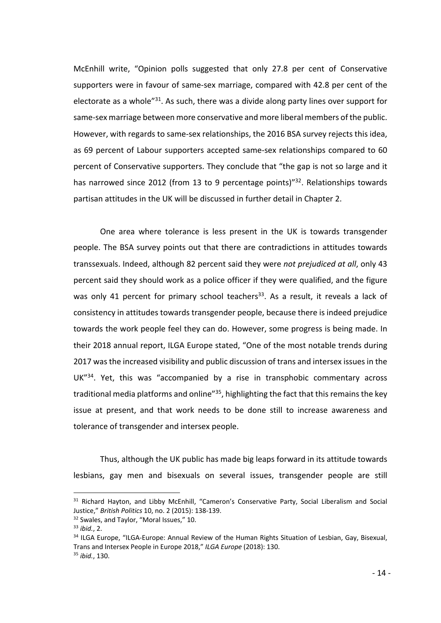McEnhill write, "Opinion polls suggested that only 27.8 per cent of Conservative supporters were in favour of same-sex marriage, compared with 42.8 per cent of the electorate as a whole"<sup>31</sup>. As such, there was a divide along party lines over support for same-sex marriage between more conservative and more liberal members of the public. However, with regards to same-sex relationships, the 2016 BSA survey rejects this idea, as 69 percent of Labour supporters accepted same-sex relationships compared to 60 percent of Conservative supporters. They conclude that "the gap is not so large and it has narrowed since 2012 (from 13 to 9 percentage points)<sup>"32</sup>. Relationships towards partisan attitudes in the UK will be discussed in further detail in Chapter 2.

One area where tolerance is less present in the UK is towards transgender people. The BSA survey points out that there are contradictions in attitudes towards transsexuals. Indeed, although 82 percent said they were *not prejudiced at all*, only 43 percent said they should work as a police officer if they were qualified, and the figure was only 41 percent for primary school teachers<sup>33</sup>. As a result, it reveals a lack of consistency in attitudes towards transgender people, because there is indeed prejudice towards the work people feel they can do. However, some progress is being made. In their 2018 annual report, ILGA Europe stated, "One of the most notable trends during 2017 was the increased visibility and public discussion of trans and intersex issues in the UK"34. Yet, this was "accompanied by a rise in transphobic commentary across traditional media platforms and online<sup>"35</sup>, highlighting the fact that this remains the key issue at present, and that work needs to be done still to increase awareness and tolerance of transgender and intersex people.

Thus, although the UK public has made big leaps forward in its attitude towards lesbians, gay men and bisexuals on several issues, transgender people are still

<sup>&</sup>lt;sup>31</sup> Richard Hayton, and Libby McEnhill, "Cameron's Conservative Party, Social Liberalism and Social Justice," *British Politics* 10, no. 2 (2015): 138-139.

<sup>&</sup>lt;sup>32</sup> Swales, and Taylor, "Moral Issues," 10.

<sup>33</sup> *ibid.*, 2.

<sup>&</sup>lt;sup>34</sup> ILGA Europe, "ILGA-Europe: Annual Review of the Human Rights Situation of Lesbian, Gay, Bisexual, Trans and Intersex People in Europe 2018," *ILGA Europe* (2018): 130.

<sup>35</sup> *ibid.*, 130.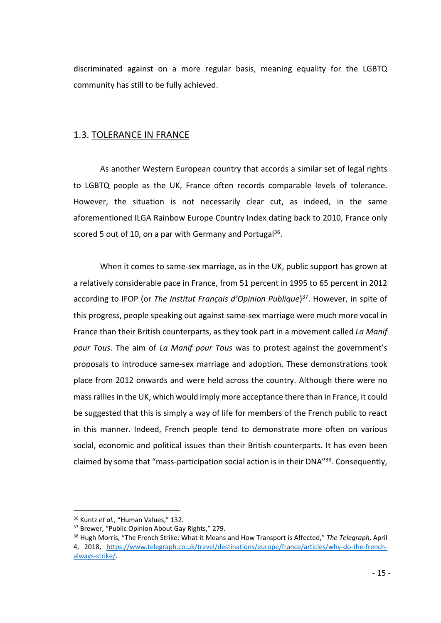discriminated against on a more regular basis, meaning equality for the LGBTQ community has still to be fully achieved.

#### 1.3. TOLERANCE IN FRANCE

As another Western European country that accords a similar set of legal rights to LGBTQ people as the UK, France often records comparable levels of tolerance. However, the situation is not necessarily clear cut, as indeed, in the same aforementioned ILGA Rainbow Europe Country Index dating back to 2010, France only scored 5 out of 10, on a par with Germany and Portugal<sup>36</sup>.

When it comes to same-sex marriage, as in the UK, public support has grown at a relatively considerable pace in France, from 51 percent in 1995 to 65 percent in 2012 according to IFOP (or *The Institut Français d'Opinion Publique*) 37. However, in spite of this progress, people speaking out against same-sex marriage were much more vocal in France than their British counterparts, as they took part in a movement called *La Manif pour Tous*. The aim of *La Manif pour Tous* was to protest against the government's proposals to introduce same-sex marriage and adoption. These demonstrations took place from 2012 onwards and were held across the country. Although there were no mass rallies in the UK, which would imply more acceptance there than in France, it could be suggested that this is simply a way of life for members of the French public to react in this manner. Indeed, French people tend to demonstrate more often on various social, economic and political issues than their British counterparts. It has even been claimed by some that "mass-participation social action is in their DNA"38. Consequently,

 <sup>36</sup> Kuntz *et al.*, "Human Values," 132.

<sup>&</sup>lt;sup>37</sup> Brewer, "Public Opinion About Gay Rights," 279.

<sup>38</sup> Hugh Morris, "The French Strike: What it Means and How Transport is Affected," *The Telegraph*, April 4, 2018, https://www.telegraph.co.uk/travel/destinations/europe/france/articles/why-do-the-frenchalways-strike/.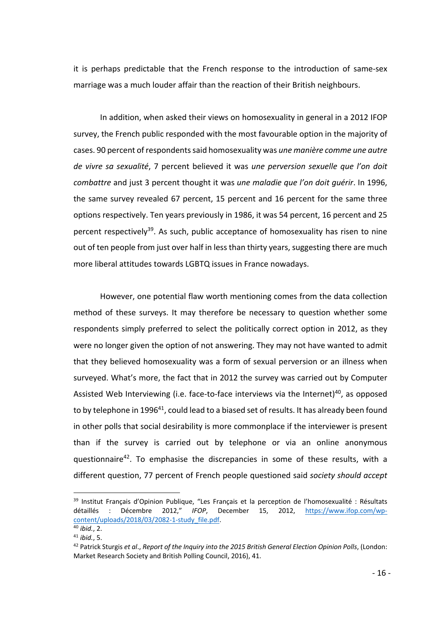it is perhaps predictable that the French response to the introduction of same-sex marriage was a much louder affair than the reaction of their British neighbours.

In addition, when asked their views on homosexuality in general in a 2012 IFOP survey, the French public responded with the most favourable option in the majority of cases. 90 percent of respondents said homosexuality was *une manière comme une autre de vivre sa sexualité*, 7 percent believed it was *une perversion sexuelle que l'on doit combattre* and just 3 percent thought it was *une maladie que l'on doit guérir*. In 1996, the same survey revealed 67 percent, 15 percent and 16 percent for the same three options respectively. Ten years previously in 1986, it was 54 percent, 16 percent and 25 percent respectively<sup>39</sup>. As such, public acceptance of homosexuality has risen to nine out of ten people from just over half in less than thirty years, suggesting there are much more liberal attitudes towards LGBTQ issues in France nowadays.

However, one potential flaw worth mentioning comes from the data collection method of these surveys. It may therefore be necessary to question whether some respondents simply preferred to select the politically correct option in 2012, as they were no longer given the option of not answering. They may not have wanted to admit that they believed homosexuality was a form of sexual perversion or an illness when surveyed. What's more, the fact that in 2012 the survey was carried out by Computer Assisted Web Interviewing (i.e. face-to-face interviews via the Internet)<sup>40</sup>, as opposed to by telephone in 1996<sup>41</sup>, could lead to a biased set of results. It has already been found in other polls that social desirability is more commonplace if the interviewer is present than if the survey is carried out by telephone or via an online anonymous questionnaire42. To emphasise the discrepancies in some of these results, with a different question, 77 percent of French people questioned said *society should accept* 

<sup>&</sup>lt;sup>39</sup> Institut Français d'Opinion Publique, "Les Français et la perception de l'homosexualité : Résultats détaillés : Décembre 2012," *IFOP*, December 15, 2012, https://www.ifop.com/wpcontent/uploads/2018/03/2082-1-study\_file.pdf.

<sup>40</sup> *ibid.*, 2. <sup>41</sup> *ibid.*, 5.

<sup>42</sup> Patrick Sturgis *et al*., *Report of the Inquiry into the 2015 British General Election Opinion Polls*, (London: Market Research Society and British Polling Council, 2016), 41.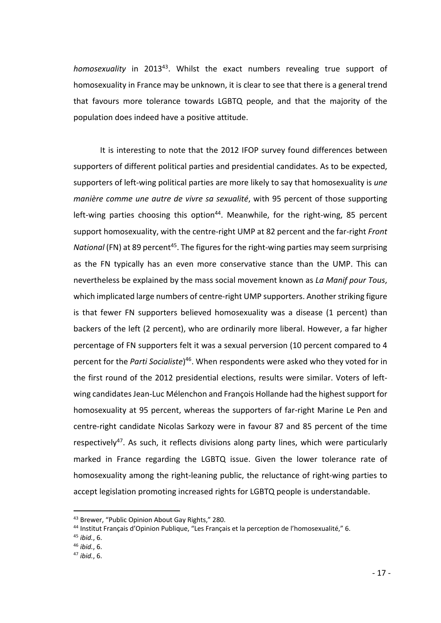*homosexuality* in 201343. Whilst the exact numbers revealing true support of homosexuality in France may be unknown, it is clear to see that there is a general trend that favours more tolerance towards LGBTQ people, and that the majority of the population does indeed have a positive attitude.

It is interesting to note that the 2012 IFOP survey found differences between supporters of different political parties and presidential candidates. As to be expected, supporters of left-wing political parties are more likely to say that homosexuality is *une manière comme une autre de vivre sa sexualité*, with 95 percent of those supporting left-wing parties choosing this option<sup>44</sup>. Meanwhile, for the right-wing, 85 percent support homosexuality, with the centre-right UMP at 82 percent and the far-right *Front National* (FN) at 89 percent<sup>45</sup>. The figures for the right-wing parties may seem surprising as the FN typically has an even more conservative stance than the UMP. This can nevertheless be explained by the mass social movement known as *La Manif pour Tous*, which implicated large numbers of centre-right UMP supporters. Another striking figure is that fewer FN supporters believed homosexuality was a disease (1 percent) than backers of the left (2 percent), who are ordinarily more liberal. However, a far higher percentage of FN supporters felt it was a sexual perversion (10 percent compared to 4 percent for the *Parti Socialiste*) 46. When respondents were asked who they voted for in the first round of the 2012 presidential elections, results were similar. Voters of leftwing candidates Jean-Luc Mélenchon and François Hollande had the highest support for homosexuality at 95 percent, whereas the supporters of far-right Marine Le Pen and centre-right candidate Nicolas Sarkozy were in favour 87 and 85 percent of the time respectively<sup>47</sup>. As such, it reflects divisions along party lines, which were particularly marked in France regarding the LGBTQ issue. Given the lower tolerance rate of homosexuality among the right-leaning public, the reluctance of right-wing parties to accept legislation promoting increased rights for LGBTQ people is understandable.

<sup>&</sup>lt;sup>43</sup> Brewer, "Public Opinion About Gay Rights," 280.<br><sup>44</sup> Institut Français d'Opinion Publique, "Les Français et la perception de l'homosexualité," 6.

<sup>45</sup> *ibid.*, 6.

<sup>46</sup> *ibid.*, 6.

<sup>47</sup> *ibid.*, 6.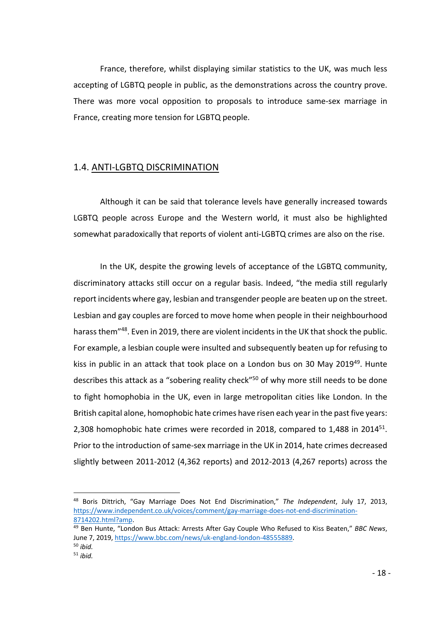France, therefore, whilst displaying similar statistics to the UK, was much less accepting of LGBTQ people in public, as the demonstrations across the country prove. There was more vocal opposition to proposals to introduce same-sex marriage in France, creating more tension for LGBTQ people.

#### 1.4. ANTI-LGBTQ DISCRIMINATION

Although it can be said that tolerance levels have generally increased towards LGBTQ people across Europe and the Western world, it must also be highlighted somewhat paradoxically that reports of violent anti-LGBTQ crimes are also on the rise.

In the UK, despite the growing levels of acceptance of the LGBTQ community, discriminatory attacks still occur on a regular basis. Indeed, "the media still regularly report incidents where gay, lesbian and transgender people are beaten up on the street. Lesbian and gay couples are forced to move home when people in their neighbourhood harass them"<sup>48</sup>. Even in 2019, there are violent incidents in the UK that shock the public. For example, a lesbian couple were insulted and subsequently beaten up for refusing to kiss in public in an attack that took place on a London bus on 30 May 2019<sup>49</sup>. Hunte describes this attack as a "sobering reality check"<sup>50</sup> of why more still needs to be done to fight homophobia in the UK, even in large metropolitan cities like London. In the British capital alone, homophobic hate crimes have risen each year in the past five years: 2,308 homophobic hate crimes were recorded in 2018, compared to 1,488 in 2014<sup>51</sup>. Prior to the introduction of same-sex marriage in the UK in 2014, hate crimes decreased slightly between 2011-2012 (4,362 reports) and 2012-2013 (4,267 reports) across the

 <sup>48</sup> Boris Dittrich, "Gay Marriage Does Not End Discrimination," *The Independent*, July 17, 2013, https://www.independent.co.uk/voices/comment/gay-marriage-does-not-end-discrimination-8714202.html?amp.

<sup>49</sup> Ben Hunte, "London Bus Attack: Arrests After Gay Couple Who Refused to Kiss Beaten," *BBC News*, June 7, 2019, https://www.bbc.com/news/uk-england-london-48555889.

<sup>50</sup> *ibid.*

<sup>51</sup> *ibid.*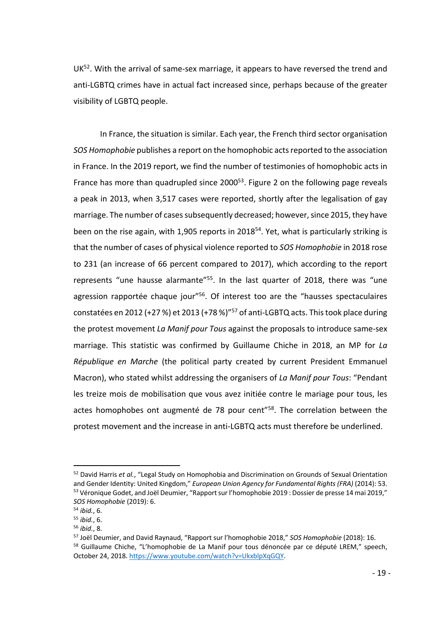$UK<sup>52</sup>$ . With the arrival of same-sex marriage, it appears to have reversed the trend and anti-LGBTQ crimes have in actual fact increased since, perhaps because of the greater visibility of LGBTQ people.

In France, the situation is similar. Each year, the French third sector organisation *SOS Homophobie* publishes a report on the homophobic acts reported to the association in France. In the 2019 report, we find the number of testimonies of homophobic acts in France has more than quadrupled since 2000<sup>53</sup>. Figure 2 on the following page reveals a peak in 2013, when 3,517 cases were reported, shortly after the legalisation of gay marriage. The number of cases subsequently decreased; however, since 2015, they have been on the rise again, with 1,905 reports in  $2018^{54}$ . Yet, what is particularly striking is that the number of cases of physical violence reported to *SOS Homophobie* in 2018 rose to 231 (an increase of 66 percent compared to 2017), which according to the report represents "une hausse alarmante"<sup>55</sup>. In the last quarter of 2018, there was "une agression rapportée chaque jour<sup>"56</sup>. Of interest too are the "hausses spectaculaires constatées en 2012 (+27 %) et 2013 (+78 %)"57 of anti-LGBTQ acts. This took place during the protest movement *La Manif pour Tous* against the proposals to introduce same-sex marriage. This statistic was confirmed by Guillaume Chiche in 2018, an MP for *La République en Marche* (the political party created by current President Emmanuel Macron), who stated whilst addressing the organisers of *La Manif pour Tous*: "Pendant les treize mois de mobilisation que vous avez initiée contre le mariage pour tous, les actes homophobes ont augmenté de 78 pour cent<sup>"58</sup>. The correlation between the protest movement and the increase in anti-LGBTQ acts must therefore be underlined.

 <sup>52</sup> David Harris *et al.*, "Legal Study on Homophobia and Discrimination on Grounds of Sexual Orientation and Gender Identity: United Kingdom," *European Union Agency for Fundamental Rights (FRA)* (2014): 53. <sup>53</sup> Véronique Godet, and Joël Deumier, "Rapport sur l'homophobie 2019 : Dossier de presse 14 mai 2019," *SOS Homophobie* (2019): 6.

<sup>54</sup> *ibid.*, 6.

<sup>55</sup> *ibid.*, 6.

<sup>56</sup> *ibid.*, 8.

<sup>57</sup> Joël Deumier, and David Raynaud, "Rapport sur l'homophobie 2018," *SOS Homophobie* (2018): 16.

<sup>&</sup>lt;sup>58</sup> Guillaume Chiche, "L'homophobie de La Manif pour tous dénoncée par ce député LREM," speech, October 24, 2018. https://www.youtube.com/watch?v=UkxblpXqGQY.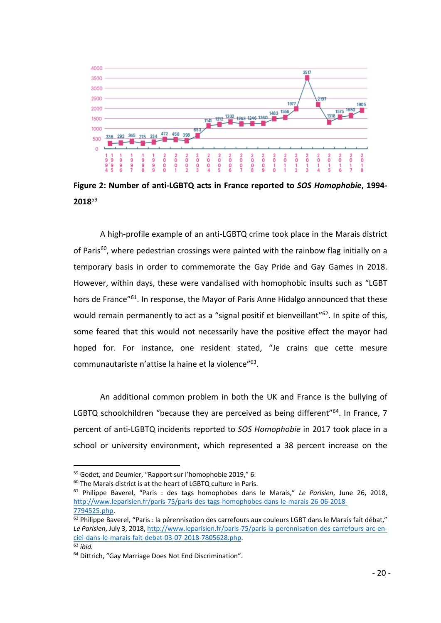

**Figure 2: Number of anti-LGBTQ acts in France reported to** *SOS Homophobie***, 1994- 2018**<sup>59</sup>

A high-profile example of an anti-LGBTQ crime took place in the Marais district of Paris<sup>60</sup>, where pedestrian crossings were painted with the rainbow flag initially on a temporary basis in order to commemorate the Gay Pride and Gay Games in 2018. However, within days, these were vandalised with homophobic insults such as "LGBT hors de France<sup>"61</sup>. In response, the Mayor of Paris Anne Hidalgo announced that these would remain permanently to act as a "signal positif et bienveillant"<sup>62</sup>. In spite of this, some feared that this would not necessarily have the positive effect the mayor had hoped for. For instance, one resident stated, "Je crains que cette mesure communautariste n'attise la haine et la violence"63.

An additional common problem in both the UK and France is the bullying of LGBTQ schoolchildren "because they are perceived as being different" $64$ . In France, 7 percent of anti-LGBTQ incidents reported to *SOS Homophobie* in 2017 took place in a school or university environment, which represented a 38 percent increase on the

 <sup>59</sup> Godet, and Deumier, "Rapport sur l'homophobie 2019," 6.

<sup>60</sup> The Marais district is at the heart of LGBTQ culture in Paris.

<sup>61</sup> Philippe Baverel, "Paris : des tags homophobes dans le Marais," *Le Parisien*, June 26, 2018, http://www.leparisien.fr/paris-75/paris-des-tags-homophobes-dans-le-marais-26-06-2018- 7794525.php.

 $62$  Philippe Baverel, "Paris : la pérennisation des carrefours aux couleurs LGBT dans le Marais fait débat," *Le Parisien*, July 3, 2018, http://www.leparisien.fr/paris-75/paris-la-perennisation-des-carrefours-arc-enciel-dans-le-marais-fait-debat-03-07-2018-7805628.php. <sup>63</sup> *ibid.*

<sup>64</sup> Dittrich, "Gay Marriage Does Not End Discrimination".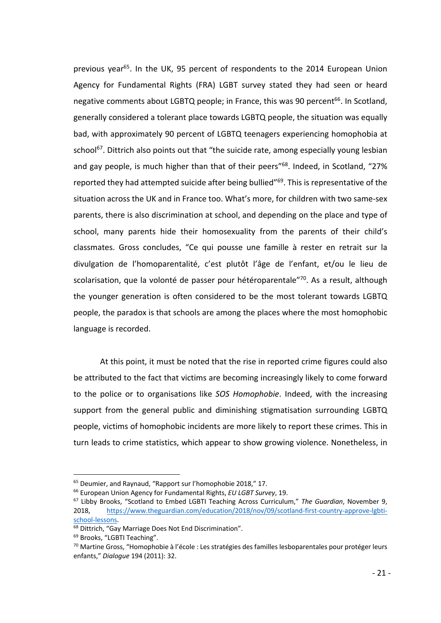previous year<sup>65</sup>. In the UK, 95 percent of respondents to the 2014 European Union Agency for Fundamental Rights (FRA) LGBT survey stated they had seen or heard negative comments about LGBTQ people; in France, this was 90 percent<sup>66</sup>. In Scotland, generally considered a tolerant place towards LGBTQ people, the situation was equally bad, with approximately 90 percent of LGBTQ teenagers experiencing homophobia at school<sup>67</sup>. Dittrich also points out that "the suicide rate, among especially young lesbian and gay people, is much higher than that of their peers"<sup>68</sup>. Indeed, in Scotland, "27% reported they had attempted suicide after being bullied"69. This is representative of the situation across the UK and in France too. What's more, for children with two same-sex parents, there is also discrimination at school, and depending on the place and type of school, many parents hide their homosexuality from the parents of their child's classmates. Gross concludes, "Ce qui pousse une famille à rester en retrait sur la divulgation de l'homoparentalité, c'est plutôt l'âge de l'enfant, et/ou le lieu de scolarisation, que la volonté de passer pour hétéroparentale<sup>"70</sup>. As a result, although the younger generation is often considered to be the most tolerant towards LGBTQ people, the paradox is that schools are among the places where the most homophobic language is recorded.

At this point, it must be noted that the rise in reported crime figures could also be attributed to the fact that victims are becoming increasingly likely to come forward to the police or to organisations like *SOS Homophobie*. Indeed, with the increasing support from the general public and diminishing stigmatisation surrounding LGBTQ people, victims of homophobic incidents are more likely to report these crimes. This in turn leads to crime statistics, which appear to show growing violence. Nonetheless, in

 <sup>65</sup> Deumier, and Raynaud, "Rapport sur l'homophobie 2018," 17.

<sup>66</sup> European Union Agency for Fundamental Rights, *EU LGBT Survey*, 19.

<sup>67</sup> Libby Brooks, "Scotland to Embed LGBTI Teaching Across Curriculum," *The Guardian*, November 9, 2018, https://www.theguardian.com/education/2018/nov/09/scotland-first-country-approve-lgbtischool-lessons.

<sup>&</sup>lt;sup>68</sup> Dittrich, "Gay Marriage Does Not End Discrimination".

<sup>69</sup> Brooks, "LGBTI Teaching".

<sup>70</sup> Martine Gross, "Homophobie à l'école : Les stratégies des familles lesboparentales pour protéger leurs enfants," *Dialogue* 194 (2011): 32.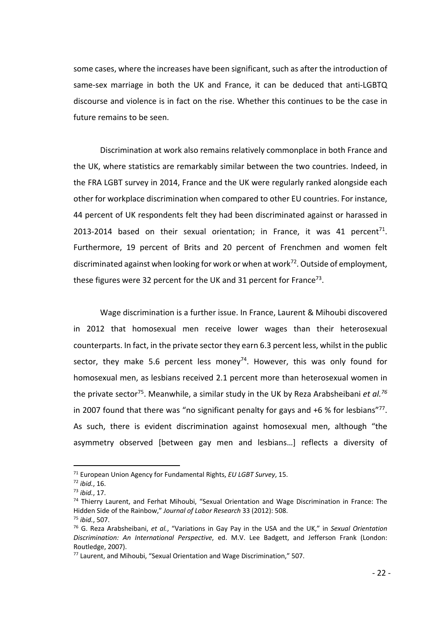some cases, where the increases have been significant, such as after the introduction of same-sex marriage in both the UK and France, it can be deduced that anti-LGBTQ discourse and violence is in fact on the rise. Whether this continues to be the case in future remains to be seen.

Discrimination at work also remains relatively commonplace in both France and the UK, where statistics are remarkably similar between the two countries. Indeed, in the FRA LGBT survey in 2014, France and the UK were regularly ranked alongside each other for workplace discrimination when compared to other EU countries. For instance, 44 percent of UK respondents felt they had been discriminated against or harassed in 2013-2014 based on their sexual orientation; in France, it was 41 percent<sup>71</sup>. Furthermore, 19 percent of Brits and 20 percent of Frenchmen and women felt discriminated against when looking for work or when at work<sup>72</sup>. Outside of employment. these figures were 32 percent for the UK and 31 percent for France<sup>73</sup>.

Wage discrimination is a further issue. In France, Laurent & Mihoubi discovered in 2012 that homosexual men receive lower wages than their heterosexual counterparts. In fact, in the private sector they earn 6.3 percent less, whilst in the public sector, they make 5.6 percent less money<sup>74</sup>. However, this was only found for homosexual men, as lesbians received 2.1 percent more than heterosexual women in the private sector75. Meanwhile, a similar study in the UK by Reza Arabsheibani *et al.76* in 2007 found that there was "no significant penalty for gays and  $+6$  % for lesbians" $^{77}$ . As such, there is evident discrimination against homosexual men, although "the asymmetry observed [between gay men and lesbians…] reflects a diversity of

 <sup>71</sup> European Union Agency for Fundamental Rights, *EU LGBT Survey*, 15.

<sup>72</sup> *ibid.*, 16.

<sup>73</sup> *ibid.*, 17.

<sup>&</sup>lt;sup>74</sup> Thierry Laurent, and Ferhat Mihoubi, "Sexual Orientation and Wage Discrimination in France: The Hidden Side of the Rainbow," *Journal of Labor Research* 33 (2012): 508.

<sup>75</sup> *ibid.*, 507.

<sup>76</sup> G. Reza Arabsheibani, *et al.*, "Variations in Gay Pay in the USA and the UK," in *Sexual Orientation Discrimination: An International Perspective*, ed. M.V. Lee Badgett, and Jefferson Frank (London: Routledge, 2007).

<sup>77</sup> Laurent, and Mihoubi, "Sexual Orientation and Wage Discrimination," 507.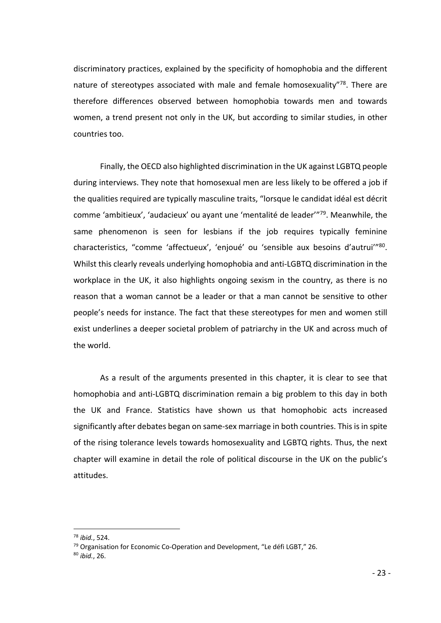discriminatory practices, explained by the specificity of homophobia and the different nature of stereotypes associated with male and female homosexuality"<sup>78</sup>. There are therefore differences observed between homophobia towards men and towards women, a trend present not only in the UK, but according to similar studies, in other countries too.

Finally, the OECD also highlighted discrimination in the UK against LGBTQ people during interviews. They note that homosexual men are less likely to be offered a job if the qualities required are typically masculine traits, "lorsque le candidat idéal est décrit comme 'ambitieux', 'audacieux' ou ayant une 'mentalité de leader'"79. Meanwhile, the same phenomenon is seen for lesbians if the job requires typically feminine characteristics, "comme 'affectueux', 'enjoué' ou 'sensible aux besoins d'autrui'"80. Whilst this clearly reveals underlying homophobia and anti-LGBTQ discrimination in the workplace in the UK, it also highlights ongoing sexism in the country, as there is no reason that a woman cannot be a leader or that a man cannot be sensitive to other people's needs for instance. The fact that these stereotypes for men and women still exist underlines a deeper societal problem of patriarchy in the UK and across much of the world.

As a result of the arguments presented in this chapter, it is clear to see that homophobia and anti-LGBTQ discrimination remain a big problem to this day in both the UK and France. Statistics have shown us that homophobic acts increased significantly after debates began on same-sex marriage in both countries. This is in spite of the rising tolerance levels towards homosexuality and LGBTQ rights. Thus, the next chapter will examine in detail the role of political discourse in the UK on the public's attitudes.

 <sup>78</sup> *ibid.*, 524.

<sup>&</sup>lt;sup>79</sup> Organisation for Economic Co-Operation and Development, "Le défi LGBT," 26.

<sup>80</sup> *ibid.*, 26.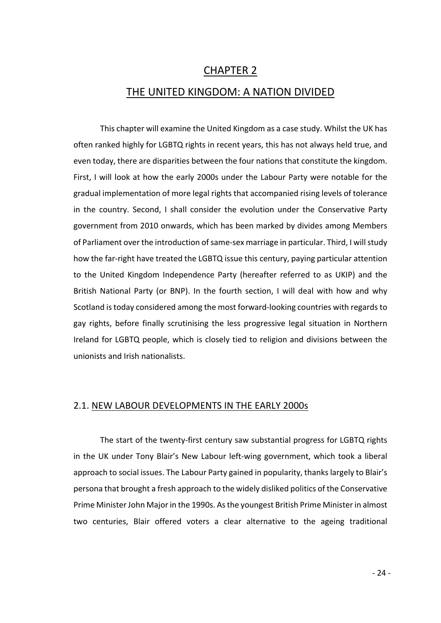### CHAPTER 2

#### THE UNITED KINGDOM: A NATION DIVIDED

This chapter will examine the United Kingdom as a case study. Whilst the UK has often ranked highly for LGBTQ rights in recent years, this has not always held true, and even today, there are disparities between the four nations that constitute the kingdom. First, I will look at how the early 2000s under the Labour Party were notable for the gradual implementation of more legal rights that accompanied rising levels of tolerance in the country. Second, I shall consider the evolution under the Conservative Party government from 2010 onwards, which has been marked by divides among Members of Parliament over the introduction of same-sex marriage in particular. Third, I will study how the far-right have treated the LGBTQ issue this century, paying particular attention to the United Kingdom Independence Party (hereafter referred to as UKIP) and the British National Party (or BNP). In the fourth section, I will deal with how and why Scotland is today considered among the most forward-looking countries with regards to gay rights, before finally scrutinising the less progressive legal situation in Northern Ireland for LGBTQ people, which is closely tied to religion and divisions between the unionists and Irish nationalists.

#### 2.1. NEW LABOUR DEVELOPMENTS IN THE EARLY 2000s

The start of the twenty-first century saw substantial progress for LGBTQ rights in the UK under Tony Blair's New Labour left-wing government, which took a liberal approach to social issues. The Labour Party gained in popularity, thanks largely to Blair's persona that brought a fresh approach to the widely disliked politics of the Conservative Prime Minister John Major in the 1990s. As the youngest British Prime Minister in almost two centuries, Blair offered voters a clear alternative to the ageing traditional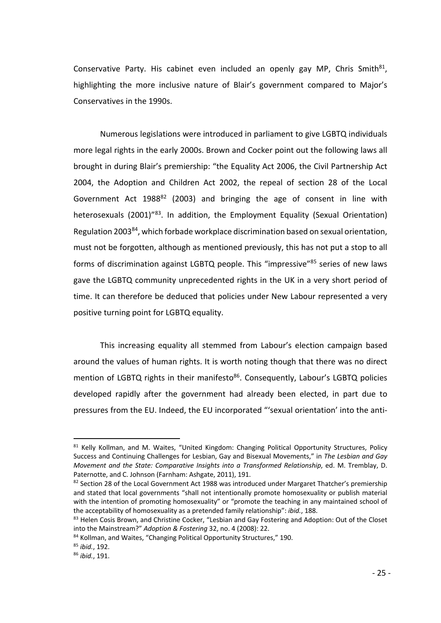Conservative Party. His cabinet even included an openly gay MP, Chris Smith $81$ , highlighting the more inclusive nature of Blair's government compared to Major's Conservatives in the 1990s.

Numerous legislations were introduced in parliament to give LGBTQ individuals more legal rights in the early 2000s. Brown and Cocker point out the following laws all brought in during Blair's premiership: "the Equality Act 2006, the Civil Partnership Act 2004, the Adoption and Children Act 2002, the repeal of section 28 of the Local Government Act 1988<sup>82</sup> (2003) and bringing the age of consent in line with heterosexuals (2001)<sup>"83</sup>. In addition, the Employment Equality (Sexual Orientation) Regulation 200384, which forbade workplace discrimination based on sexual orientation, must not be forgotten, although as mentioned previously, this has not put a stop to all forms of discrimination against LGBTQ people. This "impressive"<sup>85</sup> series of new laws gave the LGBTQ community unprecedented rights in the UK in a very short period of time. It can therefore be deduced that policies under New Labour represented a very positive turning point for LGBTQ equality.

This increasing equality all stemmed from Labour's election campaign based around the values of human rights. It is worth noting though that there was no direct mention of LGBTQ rights in their manifesto<sup>86</sup>. Consequently, Labour's LGBTQ policies developed rapidly after the government had already been elected, in part due to pressures from the EU. Indeed, the EU incorporated "'sexual orientation' into the anti-

<sup>81</sup> Kelly Kollman, and M. Waites, "United Kingdom: Changing Political Opportunity Structures, Policy Success and Continuing Challenges for Lesbian, Gay and Bisexual Movements," in *The Lesbian and Gay Movement and the State: Comparative Insights into a Transformed Relationship*, ed. M. Tremblay, D. Paternotte, and C. Johnson (Farnham: Ashgate, 2011), 191.

<sup>82</sup> Section 28 of the Local Government Act 1988 was introduced under Margaret Thatcher's premiership and stated that local governments "shall not intentionally promote homosexuality or publish material with the intention of promoting homosexuality" or "promote the teaching in any maintained school of the acceptability of homosexuality as a pretended family relationship": *ibid.*, 188.

<sup>&</sup>lt;sup>83</sup> Helen Cosis Brown, and Christine Cocker, "Lesbian and Gay Fostering and Adoption: Out of the Closet into the Mainstream?" *Adoption & Fostering* 32, no. 4 (2008): 22.

<sup>84</sup> Kollman, and Waites, "Changing Political Opportunity Structures," 190.

<sup>85</sup> *ibid.*, 192.

<sup>86</sup> *ibid.*, 191.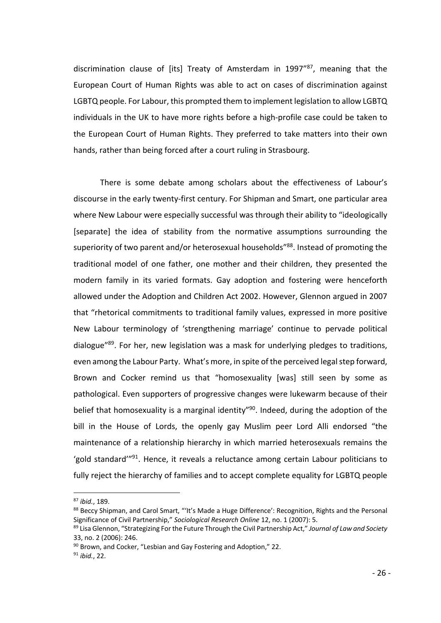discrimination clause of [its] Treaty of Amsterdam in 1997"87, meaning that the European Court of Human Rights was able to act on cases of discrimination against LGBTQ people. For Labour, this prompted them to implement legislation to allow LGBTQ individuals in the UK to have more rights before a high-profile case could be taken to the European Court of Human Rights. They preferred to take matters into their own hands, rather than being forced after a court ruling in Strasbourg.

There is some debate among scholars about the effectiveness of Labour's discourse in the early twenty-first century. For Shipman and Smart, one particular area where New Labour were especially successful was through their ability to "ideologically [separate] the idea of stability from the normative assumptions surrounding the superiority of two parent and/or heterosexual households<sup>"88</sup>. Instead of promoting the traditional model of one father, one mother and their children, they presented the modern family in its varied formats. Gay adoption and fostering were henceforth allowed under the Adoption and Children Act 2002. However, Glennon argued in 2007 that "rhetorical commitments to traditional family values, expressed in more positive New Labour terminology of 'strengthening marriage' continue to pervade political dialogue"89. For her, new legislation was a mask for underlying pledges to traditions, even among the Labour Party. What's more, in spite of the perceived legal step forward, Brown and Cocker remind us that "homosexuality [was] still seen by some as pathological. Even supporters of progressive changes were lukewarm because of their belief that homosexuality is a marginal identity<sup>"90</sup>. Indeed, during the adoption of the bill in the House of Lords, the openly gay Muslim peer Lord Alli endorsed "the maintenance of a relationship hierarchy in which married heterosexuals remains the 'gold standard'"91. Hence, it reveals a reluctance among certain Labour politicians to fully reject the hierarchy of families and to accept complete equality for LGBTQ people

 <sup>87</sup> *ibid.*, 189.

<sup>88</sup> Beccy Shipman, and Carol Smart, "'It's Made a Huge Difference': Recognition, Rights and the Personal Significance of Civil Partnership," *Sociological Research Online* 12, no. 1 (2007): 5.

<sup>89</sup> Lisa Glennon, "Strategizing For the Future Through the Civil Partnership Act," *Journal of Law and Society* 33, no. 2 (2006): 246.

<sup>90</sup> Brown, and Cocker, "Lesbian and Gay Fostering and Adoption," 22.

<sup>91</sup> *ibid.*, 22.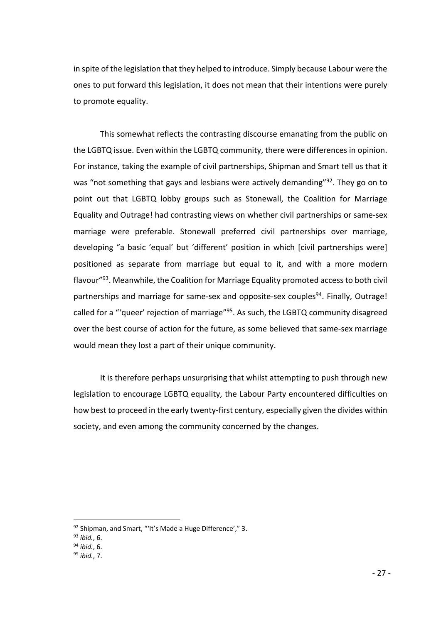in spite of the legislation that they helped to introduce. Simply because Labour were the ones to put forward this legislation, it does not mean that their intentions were purely to promote equality.

This somewhat reflects the contrasting discourse emanating from the public on the LGBTQ issue. Even within the LGBTQ community, there were differences in opinion. For instance, taking the example of civil partnerships, Shipman and Smart tell us that it was "not something that gays and lesbians were actively demanding"<sup>92</sup>. They go on to point out that LGBTQ lobby groups such as Stonewall, the Coalition for Marriage Equality and Outrage! had contrasting views on whether civil partnerships or same-sex marriage were preferable. Stonewall preferred civil partnerships over marriage, developing "a basic 'equal' but 'different' position in which [civil partnerships were] positioned as separate from marriage but equal to it, and with a more modern flavour"93. Meanwhile, the Coalition for Marriage Equality promoted access to both civil partnerships and marriage for same-sex and opposite-sex couples<sup>94</sup>. Finally, Outrage! called for a "'queer' rejection of marriage"<sup>95</sup>. As such, the LGBTQ community disagreed over the best course of action for the future, as some believed that same-sex marriage would mean they lost a part of their unique community.

It is therefore perhaps unsurprising that whilst attempting to push through new legislation to encourage LGBTQ equality, the Labour Party encountered difficulties on how best to proceed in the early twenty-first century, especially given the divides within society, and even among the community concerned by the changes.

 $92$  Shipman, and Smart, "'It's Made a Huge Difference'," 3.

<sup>93</sup> *ibid.*, 6.

<sup>94</sup> *ibid.*, 6.

<sup>95</sup> *ibid.*, 7.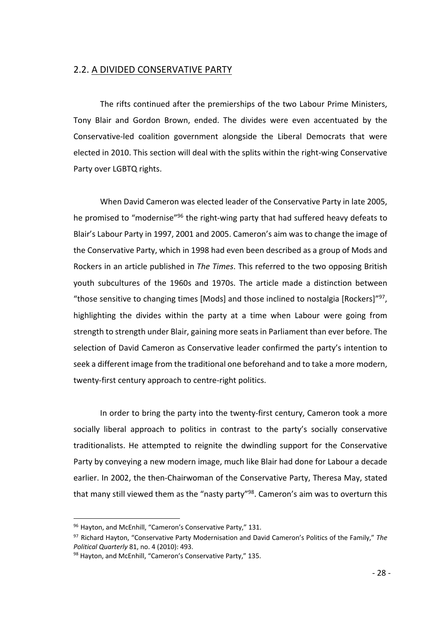#### 2.2. A DIVIDED CONSERVATIVE PARTY

The rifts continued after the premierships of the two Labour Prime Ministers, Tony Blair and Gordon Brown, ended. The divides were even accentuated by the Conservative-led coalition government alongside the Liberal Democrats that were elected in 2010. This section will deal with the splits within the right-wing Conservative Party over LGBTQ rights.

When David Cameron was elected leader of the Conservative Party in late 2005, he promised to "modernise"96 the right-wing party that had suffered heavy defeats to Blair's Labour Party in 1997, 2001 and 2005. Cameron's aim was to change the image of the Conservative Party, which in 1998 had even been described as a group of Mods and Rockers in an article published in *The Times*. This referred to the two opposing British youth subcultures of the 1960s and 1970s. The article made a distinction between "those sensitive to changing times [Mods] and those inclined to nostalgia [Rockers]"97, highlighting the divides within the party at a time when Labour were going from strength to strength under Blair, gaining more seats in Parliament than ever before. The selection of David Cameron as Conservative leader confirmed the party's intention to seek a different image from the traditional one beforehand and to take a more modern, twenty-first century approach to centre-right politics.

In order to bring the party into the twenty-first century, Cameron took a more socially liberal approach to politics in contrast to the party's socially conservative traditionalists. He attempted to reignite the dwindling support for the Conservative Party by conveying a new modern image, much like Blair had done for Labour a decade earlier. In 2002, the then-Chairwoman of the Conservative Party, Theresa May, stated that many still viewed them as the "nasty party"<sup>98</sup>. Cameron's aim was to overturn this

<sup>96</sup> Hayton, and McEnhill, "Cameron's Conservative Party," 131.

<sup>97</sup> Richard Hayton, "Conservative Party Modernisation and David Cameron's Politics of the Family," *The Political Quarterly* 81, no. 4 (2010): 493.

<sup>98</sup> Hayton, and McEnhill, "Cameron's Conservative Party," 135.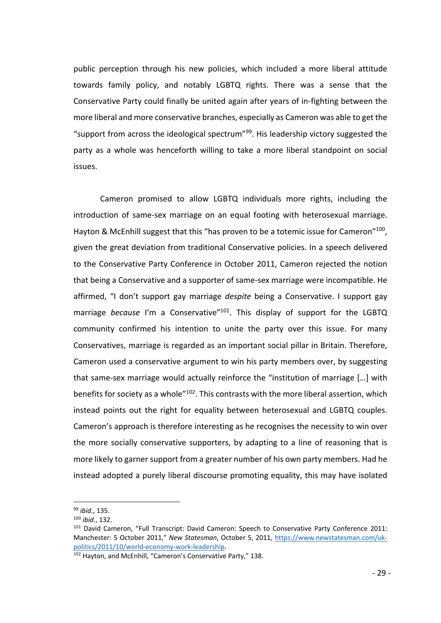public perception through his new policies, which included a more liberal attitude towards family policy, and notably LGBTQ rights. There was a sense that the Conservative Party could finally be united again after years of in-fighting between the more liberal and more conservative branches, especially as Cameron was able to get the "support from across the ideological spectrum" $99$ . His leadership victory suggested the party as a whole was henceforth willing to take a more liberal standpoint on social issues.

Cameron promised to allow LGBTQ individuals more rights, including the introduction of same-sex marriage on an equal footing with heterosexual marriage. Hayton & McEnhill suggest that this "has proven to be a totemic issue for Cameron"<sup>100</sup>, given the great deviation from traditional Conservative policies. In a speech delivered to the Conservative Party Conference in October 2011, Cameron rejected the notion that being a Conservative and a supporter of same-sex marriage were incompatible. He affirmed, "I don't support gay marriage *despite* being a Conservative. I support gay marriage *because* I'm a Conservative"101. This display of support for the LGBTQ community confirmed his intention to unite the party over this issue. For many Conservatives, marriage is regarded as an important social pillar in Britain. Therefore, Cameron used a conservative argument to win his party members over, by suggesting that same-sex marriage would actually reinforce the "institution of marriage […] with benefits for society as a whole"<sup>102</sup>. This contrasts with the more liberal assertion, which instead points out the right for equality between heterosexual and LGBTQ couples. Cameron's approach is therefore interesting as he recognises the necessity to win over the more socially conservative supporters, by adapting to a line of reasoning that is more likely to garner support from a greater number of his own party members. Had he instead adopted a purely liberal discourse promoting equality, this may have isolated

 <sup>99</sup> *ibid.*, 135.

<sup>100</sup> *ibid.*, 132.

<sup>&</sup>lt;sup>101</sup> David Cameron, "Full Transcript: David Cameron: Speech to Conservative Party Conference 2011: Manchester: 5 October 2011," *New Statesman*, October 5, 2011, https://www.newstatesman.com/ukpolitics/2011/10/world-economy-work-leadership.

<sup>102</sup> Hayton, and McEnhill, "Cameron's Conservative Party," 138.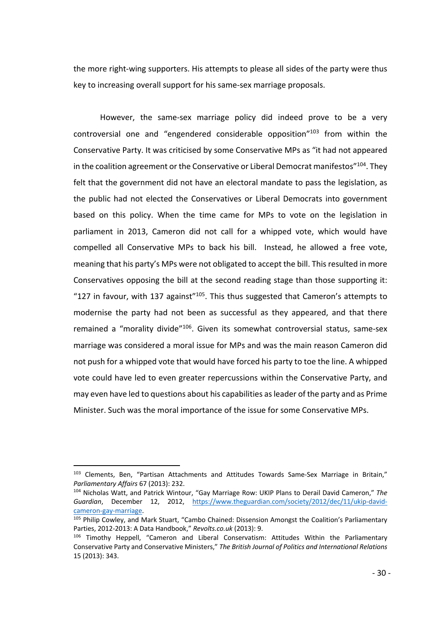the more right-wing supporters. His attempts to please all sides of the party were thus key to increasing overall support for his same-sex marriage proposals.

However, the same-sex marriage policy did indeed prove to be a very controversial one and "engendered considerable opposition"103 from within the Conservative Party. It was criticised by some Conservative MPs as "it had not appeared in the coalition agreement or the Conservative or Liberal Democrat manifestos"<sup>104</sup>. They felt that the government did not have an electoral mandate to pass the legislation, as the public had not elected the Conservatives or Liberal Democrats into government based on this policy. When the time came for MPs to vote on the legislation in parliament in 2013, Cameron did not call for a whipped vote, which would have compelled all Conservative MPs to back his bill. Instead, he allowed a free vote, meaning that his party's MPs were not obligated to accept the bill. This resulted in more Conservatives opposing the bill at the second reading stage than those supporting it: "127 in favour, with 137 against"<sup>105</sup>. This thus suggested that Cameron's attempts to modernise the party had not been as successful as they appeared, and that there remained a "morality divide"<sup>106</sup>. Given its somewhat controversial status, same-sex marriage was considered a moral issue for MPs and was the main reason Cameron did not push for a whipped vote that would have forced his party to toe the line. A whipped vote could have led to even greater repercussions within the Conservative Party, and may even have led to questions about his capabilities as leader of the party and as Prime Minister. Such was the moral importance of the issue for some Conservative MPs.

<sup>&</sup>lt;sup>103</sup> Clements, Ben, "Partisan Attachments and Attitudes Towards Same-Sex Marriage in Britain," *Parliamentary Affairs* 67 (2013): 232.

<sup>104</sup> Nicholas Watt, and Patrick Wintour, "Gay Marriage Row: UKIP Plans to Derail David Cameron," *The Guardian*, December 12, 2012, https://www.theguardian.com/society/2012/dec/11/ukip-davidcameron-gay-marriage.

<sup>&</sup>lt;sup>105</sup> Philip Cowley, and Mark Stuart, "Cambo Chained: Dissension Amongst the Coalition's Parliamentary Parties, 2012-2013: A Data Handbook," *Revolts.co.uk* (2013): 9.

<sup>&</sup>lt;sup>106</sup> Timothy Heppell, "Cameron and Liberal Conservatism: Attitudes Within the Parliamentary Conservative Party and Conservative Ministers," *The British Journal of Politics and International Relations* 15 (2013): 343.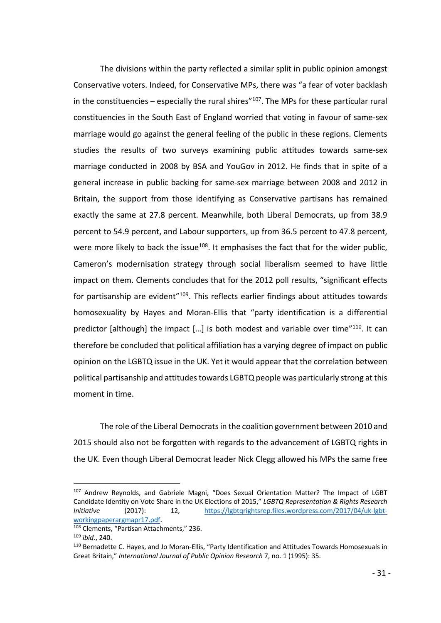The divisions within the party reflected a similar split in public opinion amongst Conservative voters. Indeed, for Conservative MPs, there was "a fear of voter backlash in the constituencies – especially the rural shires $^{\prime\prime}$ 107. The MPs for these particular rural constituencies in the South East of England worried that voting in favour of same-sex marriage would go against the general feeling of the public in these regions. Clements studies the results of two surveys examining public attitudes towards same-sex marriage conducted in 2008 by BSA and YouGov in 2012. He finds that in spite of a general increase in public backing for same-sex marriage between 2008 and 2012 in Britain, the support from those identifying as Conservative partisans has remained exactly the same at 27.8 percent. Meanwhile, both Liberal Democrats, up from 38.9 percent to 54.9 percent, and Labour supporters, up from 36.5 percent to 47.8 percent, were more likely to back the issue<sup>108</sup>. It emphasises the fact that for the wider public, Cameron's modernisation strategy through social liberalism seemed to have little impact on them. Clements concludes that for the 2012 poll results, "significant effects for partisanship are evident<sup>"109</sup>. This reflects earlier findings about attitudes towards homosexuality by Hayes and Moran-Ellis that "party identification is a differential predictor [although] the impact  $[...]$  is both modest and variable over time"<sup>110</sup>. It can therefore be concluded that political affiliation has a varying degree of impact on public opinion on the LGBTQ issue in the UK. Yet it would appear that the correlation between political partisanship and attitudes towards LGBTQ people was particularly strong at this moment in time.

The role of the Liberal Democrats in the coalition government between 2010 and 2015 should also not be forgotten with regards to the advancement of LGBTQ rights in the UK. Even though Liberal Democrat leader Nick Clegg allowed his MPs the same free

<sup>107</sup> Andrew Reynolds, and Gabriele Magni, "Does Sexual Orientation Matter? The Impact of LGBT Candidate Identity on Vote Share in the UK Elections of 2015," *LGBTQ Representation & Rights Research Initiative* (2017): 12, https://lgbtqrightsrep.files.wordpress.com/2017/04/uk-lgbtworkingpaperargmapr17.pdf.

<sup>108</sup> Clements, "Partisan Attachments," 236.

<sup>109</sup> *ibid.*, 240.

<sup>110</sup> Bernadette C. Hayes, and Jo Moran-Ellis, "Party Identification and Attitudes Towards Homosexuals in Great Britain," *International Journal of Public Opinion Research* 7, no. 1 (1995): 35.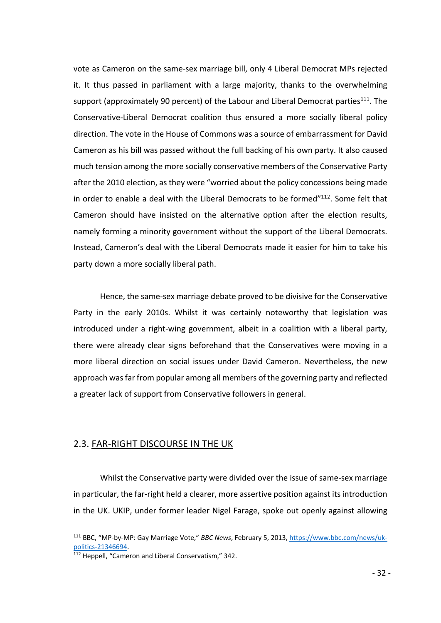vote as Cameron on the same-sex marriage bill, only 4 Liberal Democrat MPs rejected it. It thus passed in parliament with a large majority, thanks to the overwhelming support (approximately 90 percent) of the Labour and Liberal Democrat parties $111$ . The Conservative-Liberal Democrat coalition thus ensured a more socially liberal policy direction. The vote in the House of Commons was a source of embarrassment for David Cameron as his bill was passed without the full backing of his own party. It also caused much tension among the more socially conservative members of the Conservative Party after the 2010 election, as they were "worried about the policy concessions being made in order to enable a deal with the Liberal Democrats to be formed"112. Some felt that Cameron should have insisted on the alternative option after the election results, namely forming a minority government without the support of the Liberal Democrats. Instead, Cameron's deal with the Liberal Democrats made it easier for him to take his party down a more socially liberal path.

Hence, the same-sex marriage debate proved to be divisive for the Conservative Party in the early 2010s. Whilst it was certainly noteworthy that legislation was introduced under a right-wing government, albeit in a coalition with a liberal party, there were already clear signs beforehand that the Conservatives were moving in a more liberal direction on social issues under David Cameron. Nevertheless, the new approach was far from popular among all members of the governing party and reflected a greater lack of support from Conservative followers in general.

#### 2.3. FAR-RIGHT DISCOURSE IN THE UK

Whilst the Conservative party were divided over the issue of same-sex marriage in particular, the far-right held a clearer, more assertive position against its introduction in the UK. UKIP, under former leader Nigel Farage, spoke out openly against allowing

 <sup>111</sup> BBC, "MP-by-MP: Gay Marriage Vote," *BBC News*, February 5, 2013, https://www.bbc.com/news/ukpolitics-21346694.

<sup>112</sup> Heppell, "Cameron and Liberal Conservatism," 342.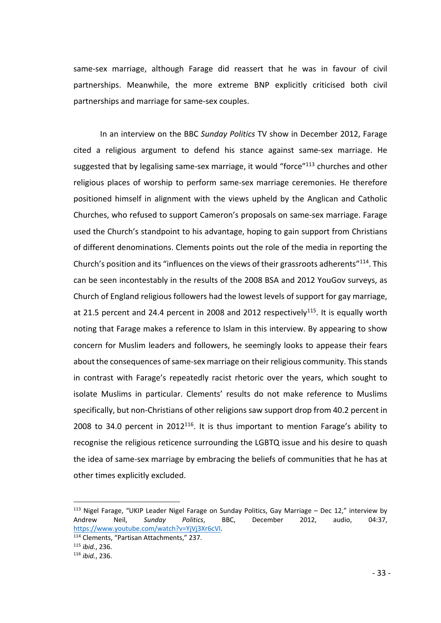same-sex marriage, although Farage did reassert that he was in favour of civil partnerships. Meanwhile, the more extreme BNP explicitly criticised both civil partnerships and marriage for same-sex couples.

In an interview on the BBC *Sunday Politics* TV show in December 2012, Farage cited a religious argument to defend his stance against same-sex marriage. He suggested that by legalising same-sex marriage, it would "force" $113$  churches and other religious places of worship to perform same-sex marriage ceremonies. He therefore positioned himself in alignment with the views upheld by the Anglican and Catholic Churches, who refused to support Cameron's proposals on same-sex marriage. Farage used the Church's standpoint to his advantage, hoping to gain support from Christians of different denominations. Clements points out the role of the media in reporting the Church's position and its "influences on the views of their grassroots adherents"114. This can be seen incontestably in the results of the 2008 BSA and 2012 YouGov surveys, as Church of England religious followers had the lowest levels of support for gay marriage, at 21.5 percent and 24.4 percent in 2008 and 2012 respectively<sup>115</sup>. It is equally worth noting that Farage makes a reference to Islam in this interview. By appearing to show concern for Muslim leaders and followers, he seemingly looks to appease their fears about the consequences of same-sex marriage on their religious community. This stands in contrast with Farage's repeatedly racist rhetoric over the years, which sought to isolate Muslims in particular. Clements' results do not make reference to Muslims specifically, but non-Christians of other religions saw support drop from 40.2 percent in 2008 to 34.0 percent in  $2012^{116}$ . It is thus important to mention Farage's ability to recognise the religious reticence surrounding the LGBTQ issue and his desire to quash the idea of same-sex marriage by embracing the beliefs of communities that he has at other times explicitly excluded.

 $113$  Nigel Farage, "UKIP Leader Nigel Farage on Sunday Politics, Gay Marriage – Dec 12," interview by Andrew Neil, *Sunday Politics*, BBC, December 2012, audio, 04:37, https://www.youtube.com/watch?v=YjVj3Xr6cVI.

<sup>114</sup> Clements, "Partisan Attachments," 237.

<sup>115</sup> *ibid.*, 236.

<sup>116</sup> *ibid.*, 236.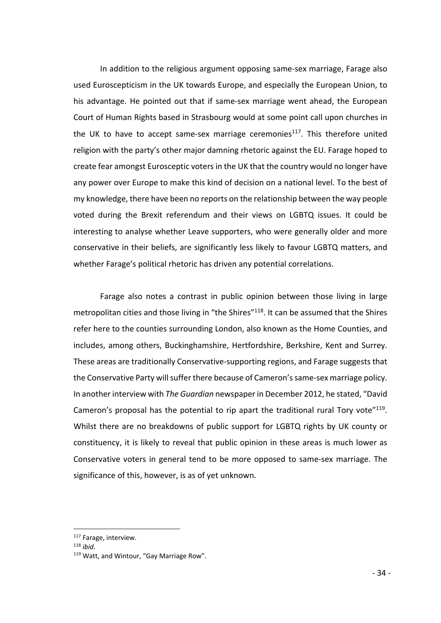In addition to the religious argument opposing same-sex marriage, Farage also used Euroscepticism in the UK towards Europe, and especially the European Union, to his advantage. He pointed out that if same-sex marriage went ahead, the European Court of Human Rights based in Strasbourg would at some point call upon churches in the UK to have to accept same-sex marriage ceremonies<sup>117</sup>. This therefore united religion with the party's other major damning rhetoric against the EU. Farage hoped to create fear amongst Eurosceptic voters in the UK that the country would no longer have any power over Europe to make this kind of decision on a national level. To the best of my knowledge, there have been no reports on the relationship between the way people voted during the Brexit referendum and their views on LGBTQ issues. It could be interesting to analyse whether Leave supporters, who were generally older and more conservative in their beliefs, are significantly less likely to favour LGBTQ matters, and whether Farage's political rhetoric has driven any potential correlations.

Farage also notes a contrast in public opinion between those living in large metropolitan cities and those living in "the Shires"<sup>118</sup>. It can be assumed that the Shires refer here to the counties surrounding London, also known as the Home Counties, and includes, among others, Buckinghamshire, Hertfordshire, Berkshire, Kent and Surrey. These areas are traditionally Conservative-supporting regions, and Farage suggests that the Conservative Party will suffer there because of Cameron's same-sex marriage policy. In another interview with *The Guardian* newspaper in December 2012, he stated, "David Cameron's proposal has the potential to rip apart the traditional rural Tory vote"<sup>119</sup>. Whilst there are no breakdowns of public support for LGBTQ rights by UK county or constituency, it is likely to reveal that public opinion in these areas is much lower as Conservative voters in general tend to be more opposed to same-sex marriage. The significance of this, however, is as of yet unknown.

 <sup>117</sup> Farage, interview.

<sup>118</sup> *ibid.*

<sup>119</sup> Watt, and Wintour, "Gay Marriage Row".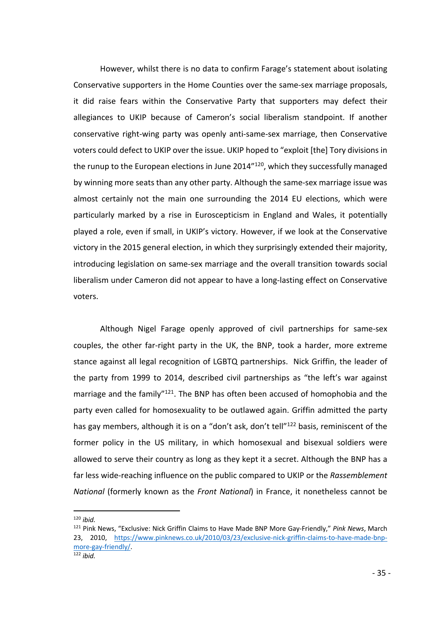However, whilst there is no data to confirm Farage's statement about isolating Conservative supporters in the Home Counties over the same-sex marriage proposals, it did raise fears within the Conservative Party that supporters may defect their allegiances to UKIP because of Cameron's social liberalism standpoint. If another conservative right-wing party was openly anti-same-sex marriage, then Conservative voters could defect to UKIP over the issue. UKIP hoped to "exploit [the] Tory divisions in the runup to the European elections in June 2014"<sup>120</sup>, which they successfully managed by winning more seats than any other party. Although the same-sex marriage issue was almost certainly not the main one surrounding the 2014 EU elections, which were particularly marked by a rise in Euroscepticism in England and Wales, it potentially played a role, even if small, in UKIP's victory. However, if we look at the Conservative victory in the 2015 general election, in which they surprisingly extended their majority, introducing legislation on same-sex marriage and the overall transition towards social liberalism under Cameron did not appear to have a long-lasting effect on Conservative voters.

Although Nigel Farage openly approved of civil partnerships for same-sex couples, the other far-right party in the UK, the BNP, took a harder, more extreme stance against all legal recognition of LGBTQ partnerships. Nick Griffin, the leader of the party from 1999 to 2014, described civil partnerships as "the left's war against marriage and the family"<sup>121</sup>. The BNP has often been accused of homophobia and the party even called for homosexuality to be outlawed again. Griffin admitted the party has gay members, although it is on a "don't ask, don't tell"<sup>122</sup> basis, reminiscent of the former policy in the US military, in which homosexual and bisexual soldiers were allowed to serve their country as long as they kept it a secret. Although the BNP has a far less wide-reaching influence on the public compared to UKIP or the *Rassemblement National* (formerly known as the *Front National*) in France, it nonetheless cannot be

 <sup>120</sup> *ibid.*

<sup>121</sup> Pink News, "Exclusive: Nick Griffin Claims to Have Made BNP More Gay-Friendly," *Pink News*, March 23, 2010, https://www.pinknews.co.uk/2010/03/23/exclusive-nick-griffin-claims-to-have-made-bnpmore-gay-friendly/.  $\overline{\frac{122}{}}$ *ibid.*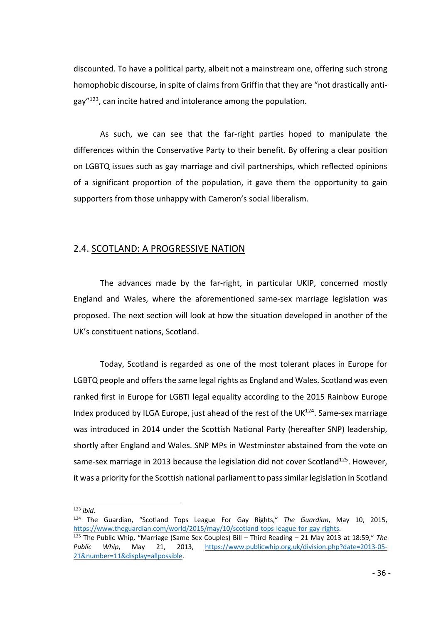discounted. To have a political party, albeit not a mainstream one, offering such strong homophobic discourse, in spite of claims from Griffin that they are "not drastically antigay"123, can incite hatred and intolerance among the population.

As such, we can see that the far-right parties hoped to manipulate the differences within the Conservative Party to their benefit. By offering a clear position on LGBTQ issues such as gay marriage and civil partnerships, which reflected opinions of a significant proportion of the population, it gave them the opportunity to gain supporters from those unhappy with Cameron's social liberalism.

#### 2.4. SCOTLAND: A PROGRESSIVE NATION

The advances made by the far-right, in particular UKIP, concerned mostly England and Wales, where the aforementioned same-sex marriage legislation was proposed. The next section will look at how the situation developed in another of the UK's constituent nations, Scotland.

Today, Scotland is regarded as one of the most tolerant places in Europe for LGBTQ people and offers the same legal rights as England and Wales. Scotland was even ranked first in Europe for LGBTI legal equality according to the 2015 Rainbow Europe Index produced by ILGA Europe, just ahead of the rest of the UK $^{124}$ . Same-sex marriage was introduced in 2014 under the Scottish National Party (hereafter SNP) leadership, shortly after England and Wales. SNP MPs in Westminster abstained from the vote on same-sex marriage in 2013 because the legislation did not cover Scotland<sup>125</sup>. However, it was a priority for the Scottish national parliament to pass similar legislation in Scotland

 <sup>123</sup> *ibid.*

<sup>124</sup> The Guardian, "Scotland Tops League For Gay Rights," *The Guardian*, May 10, 2015, https://www.theguardian.com/world/2015/may/10/scotland-tops-league-for-gay-rights.

<sup>125</sup> The Public Whip, "Marriage (Same Sex Couples) Bill – Third Reading – 21 May 2013 at 18:59," *The Public Whip*, May 21, 2013, https://www.publicwhip.org.uk/division.php?date=2013-05- 21&number=11&display=allpossible.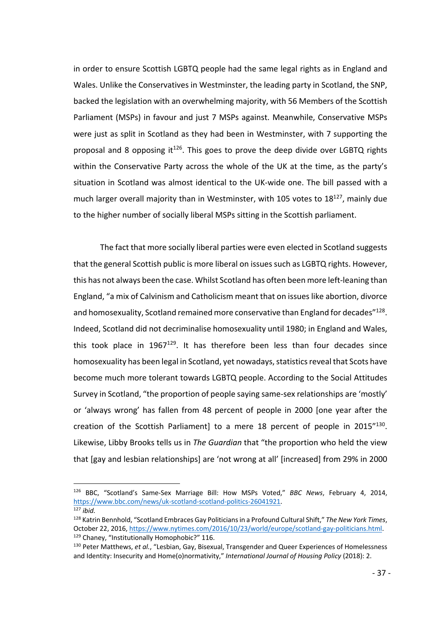in order to ensure Scottish LGBTQ people had the same legal rights as in England and Wales. Unlike the Conservatives in Westminster, the leading party in Scotland, the SNP, backed the legislation with an overwhelming majority, with 56 Members of the Scottish Parliament (MSPs) in favour and just 7 MSPs against. Meanwhile, Conservative MSPs were just as split in Scotland as they had been in Westminster, with 7 supporting the proposal and 8 opposing it<sup>126</sup>. This goes to prove the deep divide over LGBTQ rights within the Conservative Party across the whole of the UK at the time, as the party's situation in Scotland was almost identical to the UK-wide one. The bill passed with a much larger overall majority than in Westminster, with 105 votes to 18<sup>127</sup>, mainly due to the higher number of socially liberal MSPs sitting in the Scottish parliament.

The fact that more socially liberal parties were even elected in Scotland suggests that the general Scottish public is more liberal on issues such as LGBTQ rights. However, this has not always been the case. Whilst Scotland has often been more left-leaning than England, "a mix of Calvinism and Catholicism meant that on issues like abortion, divorce and homosexuality, Scotland remained more conservative than England for decades"<sup>128</sup>. Indeed, Scotland did not decriminalise homosexuality until 1980; in England and Wales, this took place in  $1967^{129}$ . It has therefore been less than four decades since homosexuality has been legal in Scotland, yet nowadays, statistics reveal that Scots have become much more tolerant towards LGBTQ people. According to the Social Attitudes Survey in Scotland, "the proportion of people saying same-sex relationships are 'mostly' or 'always wrong' has fallen from 48 percent of people in 2000 [one year after the creation of the Scottish Parliament] to a mere 18 percent of people in 2015"130. Likewise, Libby Brooks tells us in *The Guardian* that "the proportion who held the view that [gay and lesbian relationships] are 'not wrong at all' [increased] from 29% in 2000

 <sup>126</sup> BBC, "Scotland's Same-Sex Marriage Bill: How MSPs Voted," *BBC News*, February 4, 2014, https://www.bbc.com/news/uk-scotland-scotland-politics-26041921.

<sup>127</sup> *ibid.*

<sup>128</sup> Katrin Bennhold, "Scotland Embraces Gay Politicians in a Profound Cultural Shift," *The New York Times*, October 22, 2016, https://www.nytimes.com/2016/10/23/world/europe/scotland-gay-politicians.html. <sup>129</sup> Chaney, "Institutionally Homophobic?" 116.

<sup>130</sup> Peter Matthews, *et al.*, "Lesbian, Gay, Bisexual, Transgender and Queer Experiences of Homelessness and Identity: Insecurity and Home(o)normativity," *International Journal of Housing Policy* (2018): 2.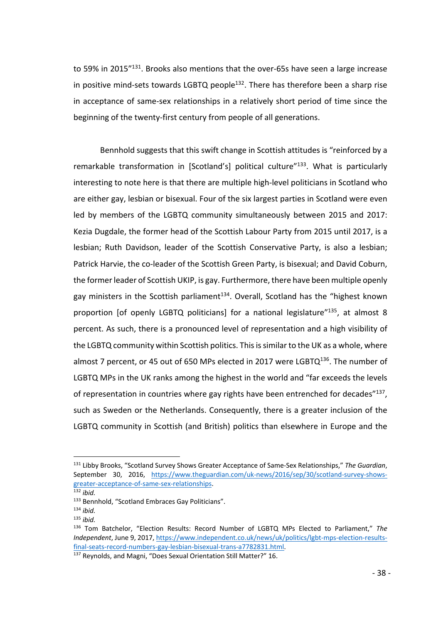to 59% in 2015"<sup>131</sup>. Brooks also mentions that the over-65s have seen a large increase in positive mind-sets towards LGBTQ people $132$ . There has therefore been a sharp rise in acceptance of same-sex relationships in a relatively short period of time since the beginning of the twenty-first century from people of all generations.

Bennhold suggests that this swift change in Scottish attitudes is "reinforced by a remarkable transformation in [Scotland's] political culture<sup>"133</sup>. What is particularly interesting to note here is that there are multiple high-level politicians in Scotland who are either gay, lesbian or bisexual. Four of the six largest parties in Scotland were even led by members of the LGBTQ community simultaneously between 2015 and 2017: Kezia Dugdale, the former head of the Scottish Labour Party from 2015 until 2017, is a lesbian; Ruth Davidson, leader of the Scottish Conservative Party, is also a lesbian; Patrick Harvie, the co-leader of the Scottish Green Party, is bisexual; and David Coburn, the former leader of Scottish UKIP, is gay. Furthermore, there have been multiple openly gay ministers in the Scottish parliament<sup>134</sup>. Overall, Scotland has the "highest known proportion [of openly LGBTQ politicians] for a national legislature<sup>"135</sup>, at almost 8 percent. As such, there is a pronounced level of representation and a high visibility of the LGBTQ community within Scottish politics. This is similar to the UK as a whole, where almost 7 percent, or 45 out of 650 MPs elected in 2017 were LGBTQ $^{136}$ . The number of LGBTQ MPs in the UK ranks among the highest in the world and "far exceeds the levels of representation in countries where gay rights have been entrenched for decades"137, such as Sweden or the Netherlands. Consequently, there is a greater inclusion of the LGBTQ community in Scottish (and British) politics than elsewhere in Europe and the

 <sup>131</sup> Libby Brooks, "Scotland Survey Shows Greater Acceptance of Same-Sex Relationships," *The Guardian*, September 30, 2016, https://www.theguardian.com/uk-news/2016/sep/30/scotland-survey-showsgreater-acceptance-of-same-sex-relationships.

<sup>132</sup> *ibid.*

<sup>133</sup> Bennhold, "Scotland Embraces Gay Politicians".

<sup>134</sup> *ibid.*

<sup>135</sup> *ibid.*

<sup>136</sup> Tom Batchelor, "Election Results: Record Number of LGBTQ MPs Elected to Parliament," *The Independent*, June 9, 2017, https://www.independent.co.uk/news/uk/politics/lgbt-mps-election-resultsfinal-seats-record-numbers-gay-lesbian-bisexual-trans-a7782831.html.

<sup>137</sup> Reynolds, and Magni, "Does Sexual Orientation Still Matter?" 16.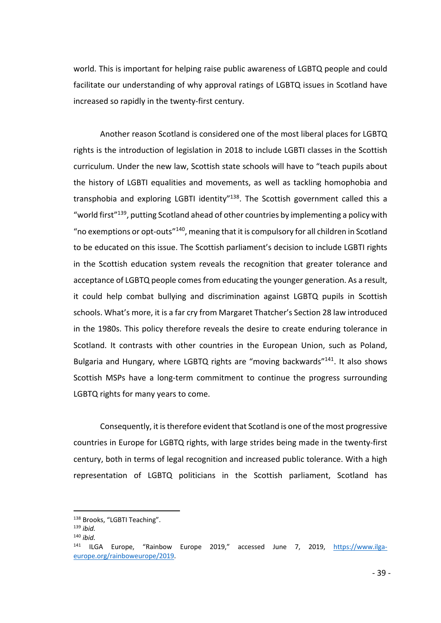world. This is important for helping raise public awareness of LGBTQ people and could facilitate our understanding of why approval ratings of LGBTQ issues in Scotland have increased so rapidly in the twenty-first century.

Another reason Scotland is considered one of the most liberal places for LGBTQ rights is the introduction of legislation in 2018 to include LGBTI classes in the Scottish curriculum. Under the new law, Scottish state schools will have to "teach pupils about the history of LGBTI equalities and movements, as well as tackling homophobia and transphobia and exploring LGBTI identity"<sup>138</sup>. The Scottish government called this a "world first"<sup>139</sup>, putting Scotland ahead of other countries by implementing a policy with "no exemptions or opt-outs"140, meaning that it is compulsory for all children in Scotland to be educated on this issue. The Scottish parliament's decision to include LGBTI rights in the Scottish education system reveals the recognition that greater tolerance and acceptance of LGBTQ people comes from educating the younger generation. As a result, it could help combat bullying and discrimination against LGBTQ pupils in Scottish schools. What's more, it is a far cry from Margaret Thatcher's Section 28 law introduced in the 1980s. This policy therefore reveals the desire to create enduring tolerance in Scotland. It contrasts with other countries in the European Union, such as Poland, Bulgaria and Hungary, where LGBTQ rights are "moving backwards"141. It also shows Scottish MSPs have a long-term commitment to continue the progress surrounding LGBTQ rights for many years to come.

Consequently, it is therefore evident that Scotland is one of the most progressive countries in Europe for LGBTQ rights, with large strides being made in the twenty-first century, both in terms of legal recognition and increased public tolerance. With a high representation of LGBTQ politicians in the Scottish parliament, Scotland has

<sup>138</sup> Brooks, "LGBTI Teaching". 139 *ibid.*

<sup>140</sup> *ibid.*

ILGA Europe, "Rainbow Europe 2019," accessed June 7, 2019, https://www.ilgaeurope.org/rainboweurope/2019.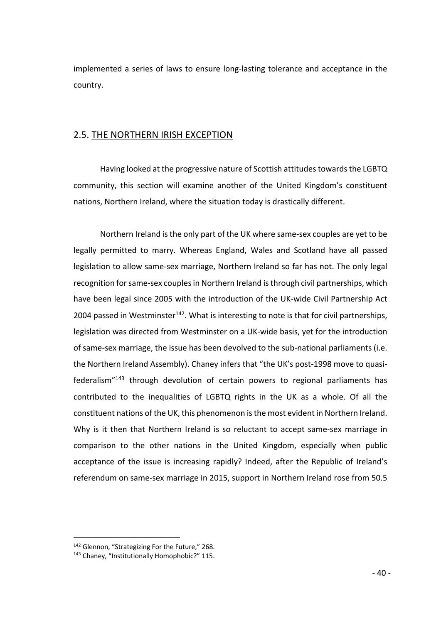implemented a series of laws to ensure long-lasting tolerance and acceptance in the country.

## 2.5. THE NORTHERN IRISH EXCEPTION

Having looked at the progressive nature of Scottish attitudes towards the LGBTQ community, this section will examine another of the United Kingdom's constituent nations, Northern Ireland, where the situation today is drastically different.

Northern Ireland is the only part of the UK where same-sex couples are yet to be legally permitted to marry. Whereas England, Wales and Scotland have all passed legislation to allow same-sex marriage, Northern Ireland so far has not. The only legal recognition for same-sex couples in Northern Ireland is through civil partnerships, which have been legal since 2005 with the introduction of the UK-wide Civil Partnership Act 2004 passed in Westminster<sup>142</sup>. What is interesting to note is that for civil partnerships, legislation was directed from Westminster on a UK-wide basis, yet for the introduction of same-sex marriage, the issue has been devolved to the sub-national parliaments (i.e. the Northern Ireland Assembly). Chaney infers that "the UK's post-1998 move to quasifederalism"143 through devolution of certain powers to regional parliaments has contributed to the inequalities of LGBTQ rights in the UK as a whole. Of all the constituent nations of the UK, this phenomenon is the most evident in Northern Ireland. Why is it then that Northern Ireland is so reluctant to accept same-sex marriage in comparison to the other nations in the United Kingdom, especially when public acceptance of the issue is increasing rapidly? Indeed, after the Republic of Ireland's referendum on same-sex marriage in 2015, support in Northern Ireland rose from 50.5

<sup>142</sup> Glennon, "Strategizing For the Future," 268.

<sup>143</sup> Chaney, "Institutionally Homophobic?" 115.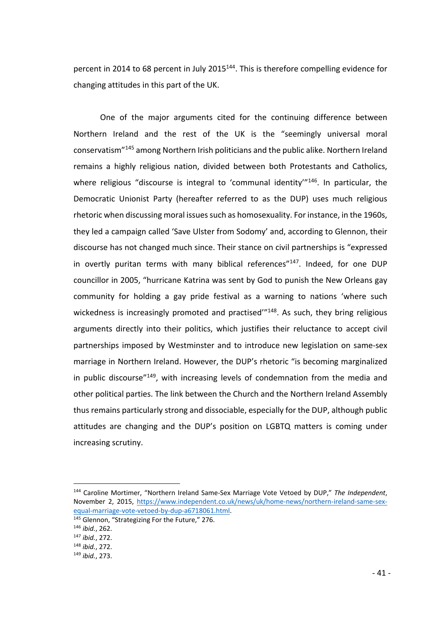percent in 2014 to 68 percent in July 2015<sup>144</sup>. This is therefore compelling evidence for changing attitudes in this part of the UK.

One of the major arguments cited for the continuing difference between Northern Ireland and the rest of the UK is the "seemingly universal moral conservatism"145 among Northern Irish politicians and the public alike. Northern Ireland remains a highly religious nation, divided between both Protestants and Catholics, where religious "discourse is integral to 'communal identity'"<sup>146</sup>. In particular, the Democratic Unionist Party (hereafter referred to as the DUP) uses much religious rhetoric when discussing moral issues such as homosexuality. For instance, in the 1960s, they led a campaign called 'Save Ulster from Sodomy' and, according to Glennon, their discourse has not changed much since. Their stance on civil partnerships is "expressed in overtly puritan terms with many biblical references" $147$ . Indeed, for one DUP councillor in 2005, "hurricane Katrina was sent by God to punish the New Orleans gay community for holding a gay pride festival as a warning to nations 'where such wickedness is increasingly promoted and practised"<sup>148</sup>. As such, they bring religious arguments directly into their politics, which justifies their reluctance to accept civil partnerships imposed by Westminster and to introduce new legislation on same-sex marriage in Northern Ireland. However, the DUP's rhetoric "is becoming marginalized in public discourse"149, with increasing levels of condemnation from the media and other political parties. The link between the Church and the Northern Ireland Assembly thus remains particularly strong and dissociable, especially for the DUP, although public attitudes are changing and the DUP's position on LGBTQ matters is coming under increasing scrutiny.

 <sup>144</sup> Caroline Mortimer, "Northern Ireland Same-Sex Marriage Vote Vetoed by DUP," *The Independent*, November 2, 2015, https://www.independent.co.uk/news/uk/home-news/northern-ireland-same-sexequal-marriage-vote-vetoed-by-dup-a6718061.html. 145 Glennon, "Strategizing For the Future," 276.

<sup>146</sup> *ibid.*, 262.

<sup>147</sup> *ibid.*, 272.

<sup>148</sup> *ibid.*, 272.

<sup>149</sup> *ibid.*, 273.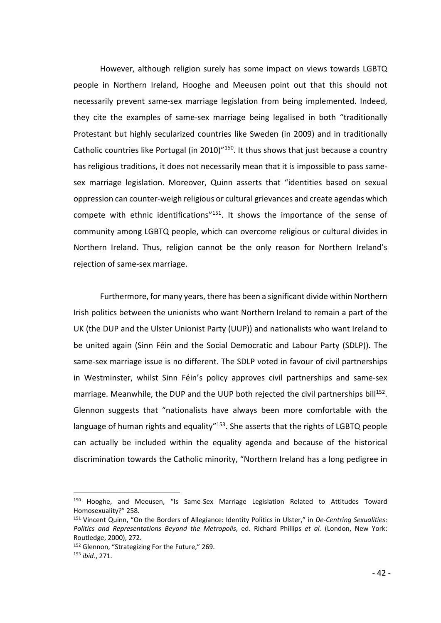However, although religion surely has some impact on views towards LGBTQ people in Northern Ireland, Hooghe and Meeusen point out that this should not necessarily prevent same-sex marriage legislation from being implemented. Indeed, they cite the examples of same-sex marriage being legalised in both "traditionally Protestant but highly secularized countries like Sweden (in 2009) and in traditionally Catholic countries like Portugal (in 2010)"150. It thus shows that just because a country has religious traditions, it does not necessarily mean that it is impossible to pass samesex marriage legislation. Moreover, Quinn asserts that "identities based on sexual oppression can counter-weigh religious or cultural grievances and create agendas which compete with ethnic identifications<sup>"151</sup>. It shows the importance of the sense of community among LGBTQ people, which can overcome religious or cultural divides in Northern Ireland. Thus, religion cannot be the only reason for Northern Ireland's rejection of same-sex marriage.

Furthermore, for many years, there has been a significant divide within Northern Irish politics between the unionists who want Northern Ireland to remain a part of the UK (the DUP and the Ulster Unionist Party (UUP)) and nationalists who want Ireland to be united again (Sinn Féin and the Social Democratic and Labour Party (SDLP)). The same-sex marriage issue is no different. The SDLP voted in favour of civil partnerships in Westminster, whilst Sinn Féin's policy approves civil partnerships and same-sex marriage. Meanwhile, the DUP and the UUP both rejected the civil partnerships bill<sup>152</sup>. Glennon suggests that "nationalists have always been more comfortable with the language of human rights and equality"<sup>153</sup>. She asserts that the rights of LGBTQ people can actually be included within the equality agenda and because of the historical discrimination towards the Catholic minority, "Northern Ireland has a long pedigree in

 <sup>150</sup> Hooghe, and Meeusen, "Is Same-Sex Marriage Legislation Related to Attitudes Toward Homosexuality?" 258.

<sup>151</sup> Vincent Quinn, "On the Borders of Allegiance: Identity Politics in Ulster," in *De-Centring Sexualities: Politics and Representations Beyond the Metropolis*, ed. Richard Phillips *et al.* (London, New York: Routledge, 2000), 272.

<sup>&</sup>lt;sup>152</sup> Glennon, "Strategizing For the Future," 269.

<sup>153</sup> *ibid.*, 271.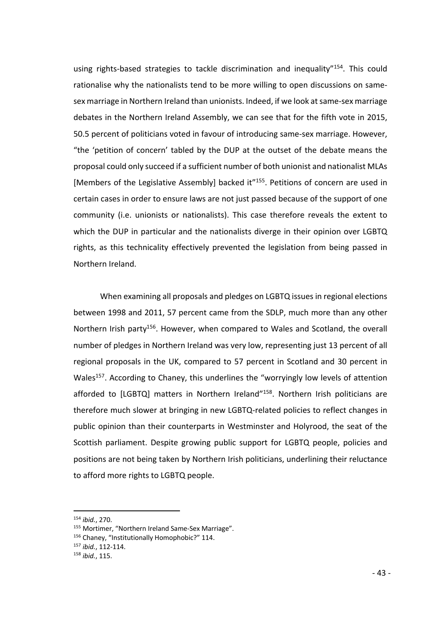using rights-based strategies to tackle discrimination and inequality"<sup>154</sup>. This could rationalise why the nationalists tend to be more willing to open discussions on samesex marriage in Northern Ireland than unionists. Indeed, if we look at same-sex marriage debates in the Northern Ireland Assembly, we can see that for the fifth vote in 2015, 50.5 percent of politicians voted in favour of introducing same-sex marriage. However, "the 'petition of concern' tabled by the DUP at the outset of the debate means the proposal could only succeed if a sufficient number of both unionist and nationalist MLAs [Members of the Legislative Assembly] backed it<sup>"155</sup>. Petitions of concern are used in certain cases in order to ensure laws are not just passed because of the support of one community (i.e. unionists or nationalists). This case therefore reveals the extent to which the DUP in particular and the nationalists diverge in their opinion over LGBTQ rights, as this technicality effectively prevented the legislation from being passed in Northern Ireland.

When examining all proposals and pledges on LGBTQ issues in regional elections between 1998 and 2011, 57 percent came from the SDLP, much more than any other Northern Irish party<sup>156</sup>. However, when compared to Wales and Scotland, the overall number of pledges in Northern Ireland was very low, representing just 13 percent of all regional proposals in the UK, compared to 57 percent in Scotland and 30 percent in Wales<sup>157</sup>. According to Chaney, this underlines the "worryingly low levels of attention afforded to [LGBTQ] matters in Northern Ireland"<sup>158</sup>. Northern Irish politicians are therefore much slower at bringing in new LGBTQ-related policies to reflect changes in public opinion than their counterparts in Westminster and Holyrood, the seat of the Scottish parliament. Despite growing public support for LGBTQ people, policies and positions are not being taken by Northern Irish politicians, underlining their reluctance to afford more rights to LGBTQ people.

 <sup>154</sup> *ibid.*, 270.

<sup>155</sup> Mortimer, "Northern Ireland Same-Sex Marriage".

<sup>156</sup> Chaney, "Institutionally Homophobic?" 114.

<sup>157</sup> *ibid.*, 112-114.

<sup>158</sup> *ibid.*, 115.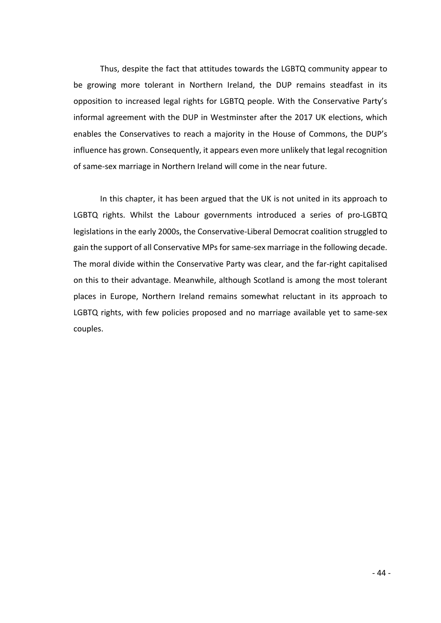Thus, despite the fact that attitudes towards the LGBTQ community appear to be growing more tolerant in Northern Ireland, the DUP remains steadfast in its opposition to increased legal rights for LGBTQ people. With the Conservative Party's informal agreement with the DUP in Westminster after the 2017 UK elections, which enables the Conservatives to reach a majority in the House of Commons, the DUP's influence has grown. Consequently, it appears even more unlikely that legal recognition of same-sex marriage in Northern Ireland will come in the near future.

In this chapter, it has been argued that the UK is not united in its approach to LGBTQ rights. Whilst the Labour governments introduced a series of pro-LGBTQ legislations in the early 2000s, the Conservative-Liberal Democrat coalition struggled to gain the support of all Conservative MPs for same-sex marriage in the following decade. The moral divide within the Conservative Party was clear, and the far-right capitalised on this to their advantage. Meanwhile, although Scotland is among the most tolerant places in Europe, Northern Ireland remains somewhat reluctant in its approach to LGBTQ rights, with few policies proposed and no marriage available yet to same-sex couples.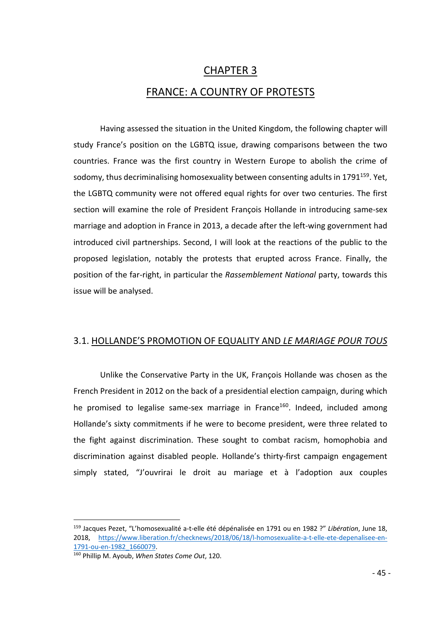# CHAPTER 3 FRANCE: A COUNTRY OF PROTESTS

Having assessed the situation in the United Kingdom, the following chapter will study France's position on the LGBTQ issue, drawing comparisons between the two countries. France was the first country in Western Europe to abolish the crime of sodomy, thus decriminalising homosexuality between consenting adults in 1791 $159$ . Yet, the LGBTQ community were not offered equal rights for over two centuries. The first section will examine the role of President François Hollande in introducing same-sex marriage and adoption in France in 2013, a decade after the left-wing government had introduced civil partnerships. Second, I will look at the reactions of the public to the proposed legislation, notably the protests that erupted across France. Finally, the position of the far-right, in particular the *Rassemblement National* party, towards this issue will be analysed.

## 3.1. HOLLANDE'S PROMOTION OF EQUALITY AND *LE MARIAGE POUR TOUS*

Unlike the Conservative Party in the UK, François Hollande was chosen as the French President in 2012 on the back of a presidential election campaign, during which he promised to legalise same-sex marriage in France<sup>160</sup>. Indeed, included among Hollande's sixty commitments if he were to become president, were three related to the fight against discrimination. These sought to combat racism, homophobia and discrimination against disabled people. Hollande's thirty-first campaign engagement simply stated, "J'ouvrirai le droit au mariage et à l'adoption aux couples

 <sup>159</sup> Jacques Pezet, "L'homosexualité a-t-elle été dépénalisée en 1791 ou en 1982 ?" *Libération*, June 18, 2018, https://www.liberation.fr/checknews/2018/06/18/l-homosexualite-a-t-elle-ete-depenalisee-en-1791-ou-en-1982\_1660079.

<sup>160</sup> Phillip M. Ayoub, *When States Come Out*, 120.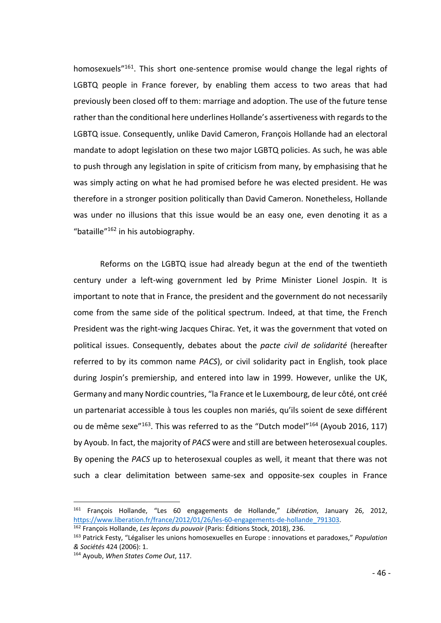homosexuels<sup>"161</sup>. This short one-sentence promise would change the legal rights of LGBTQ people in France forever, by enabling them access to two areas that had previously been closed off to them: marriage and adoption. The use of the future tense rather than the conditional here underlines Hollande's assertiveness with regards to the LGBTQ issue. Consequently, unlike David Cameron, François Hollande had an electoral mandate to adopt legislation on these two major LGBTQ policies. As such, he was able to push through any legislation in spite of criticism from many, by emphasising that he was simply acting on what he had promised before he was elected president. He was therefore in a stronger position politically than David Cameron. Nonetheless, Hollande was under no illusions that this issue would be an easy one, even denoting it as a "bataille"162 in his autobiography.

Reforms on the LGBTQ issue had already begun at the end of the twentieth century under a left-wing government led by Prime Minister Lionel Jospin. It is important to note that in France, the president and the government do not necessarily come from the same side of the political spectrum. Indeed, at that time, the French President was the right-wing Jacques Chirac. Yet, it was the government that voted on political issues. Consequently, debates about the *pacte civil de solidarité* (hereafter referred to by its common name *PACS*), or civil solidarity pact in English, took place during Jospin's premiership, and entered into law in 1999. However, unlike the UK, Germany and many Nordic countries, "la France et le Luxembourg, de leur côté, ont créé un partenariat accessible à tous les couples non mariés, qu'ils soient de sexe différent ou de même sexe<sup>"163</sup>. This was referred to as the "Dutch model"<sup>164</sup> (Ayoub 2016, 117) by Ayoub. In fact, the majority of *PACS* were and still are between heterosexual couples. By opening the *PACS* up to heterosexual couples as well, it meant that there was not such a clear delimitation between same-sex and opposite-sex couples in France

 <sup>161</sup> François Hollande, "Les 60 engagements de Hollande," *Libération*, January 26, 2012, https://www.liberation.fr/france/2012/01/26/les-60-engagements-de-hollande\_791303.

<sup>162</sup> François Hollande, *Les leçons du pouvoir* (Paris: Éditions Stock, 2018), 236.

<sup>163</sup> Patrick Festy, "Légaliser les unions homosexuelles en Europe : innovations et paradoxes," *Population & Sociétés* 424 (2006): 1.

<sup>164</sup> Ayoub, *When States Come Out*, 117.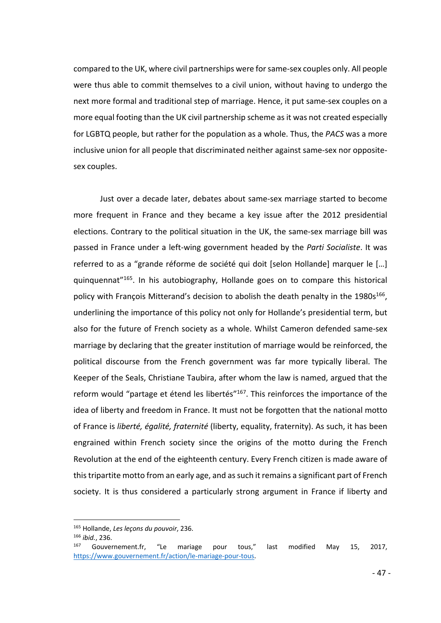compared to the UK, where civil partnerships were for same-sex couples only. All people were thus able to commit themselves to a civil union, without having to undergo the next more formal and traditional step of marriage. Hence, it put same-sex couples on a more equal footing than the UK civil partnership scheme as it was not created especially for LGBTQ people, but rather for the population as a whole. Thus, the *PACS* was a more inclusive union for all people that discriminated neither against same-sex nor oppositesex couples.

Just over a decade later, debates about same-sex marriage started to become more frequent in France and they became a key issue after the 2012 presidential elections. Contrary to the political situation in the UK, the same-sex marriage bill was passed in France under a left-wing government headed by the *Parti Socialiste*. It was referred to as a "grande réforme de société qui doit [selon Hollande] marquer le […] quinquennat"165. In his autobiography, Hollande goes on to compare this historical policy with François Mitterand's decision to abolish the death penalty in the  $1980s^{166}$ , underlining the importance of this policy not only for Hollande's presidential term, but also for the future of French society as a whole. Whilst Cameron defended same-sex marriage by declaring that the greater institution of marriage would be reinforced, the political discourse from the French government was far more typically liberal. The Keeper of the Seals, Christiane Taubira, after whom the law is named, argued that the reform would "partage et étend les libertés"<sup>167</sup>. This reinforces the importance of the idea of liberty and freedom in France. It must not be forgotten that the national motto of France is *liberté, égalité, fraternité* (liberty, equality, fraternity). As such, it has been engrained within French society since the origins of the motto during the French Revolution at the end of the eighteenth century. Every French citizen is made aware of this tripartite motto from an early age, and as such it remains a significant part of French society. It is thus considered a particularly strong argument in France if liberty and

 <sup>165</sup> Hollande, *Les leçons du pouvoir*, 236.

<sup>166</sup> *ibid.*, 236.

Gouvernement.fr, "Le mariage pour tous," last modified May 15, 2017, https://www.gouvernement.fr/action/le-mariage-pour-tous.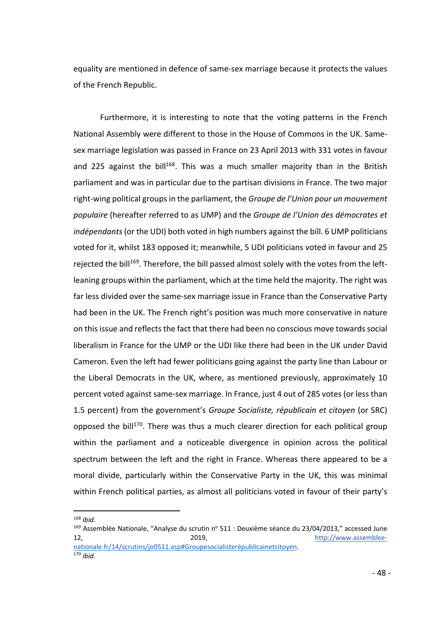equality are mentioned in defence of same-sex marriage because it protects the values of the French Republic.

Furthermore, it is interesting to note that the voting patterns in the French National Assembly were different to those in the House of Commons in the UK. Samesex marriage legislation was passed in France on 23 April 2013 with 331 votes in favour and 225 against the bill<sup>168</sup>. This was a much smaller majority than in the British parliament and was in particular due to the partisan divisions in France. The two major right-wing political groups in the parliament, the *Groupe de l'Union pour un mouvement populaire* (hereafter referred to as UMP) and the *Groupe de l'Union des démocrates et indépendants*(or the UDI) both voted in high numbers against the bill. 6 UMP politicians voted for it, whilst 183 opposed it; meanwhile, 5 UDI politicians voted in favour and 25 reiected the bill<sup>169</sup>. Therefore, the bill passed almost solely with the votes from the leftleaning groups within the parliament, which at the time held the majority. The right was far less divided over the same-sex marriage issue in France than the Conservative Party had been in the UK. The French right's position was much more conservative in nature on this issue and reflects the fact that there had been no conscious move towards social liberalism in France for the UMP or the UDI like there had been in the UK under David Cameron. Even the left had fewer politicians going against the party line than Labour or the Liberal Democrats in the UK, where, as mentioned previously, approximately 10 percent voted against same-sex marriage. In France, just 4 out of 285 votes (or less than 1.5 percent) from the government's *Groupe Socialiste, républicain et citoyen* (or SRC) opposed the bill<sup>170</sup>. There was thus a much clearer direction for each political group within the parliament and a noticeable divergence in opinion across the political spectrum between the left and the right in France. Whereas there appeared to be a moral divide, particularly within the Conservative Party in the UK, this was minimal within French political parties, as almost all politicians voted in favour of their party's

168 *ibid.*

 $169$  Assemblée Nationale, "Analyse du scrutin nº 511 : Deuxième séance du 23/04/2013," accessed June 2019, http://www.assembleenationale.fr/14/scrutins/jo0511.asp#Groupesocialisterépublicainetcitoyen.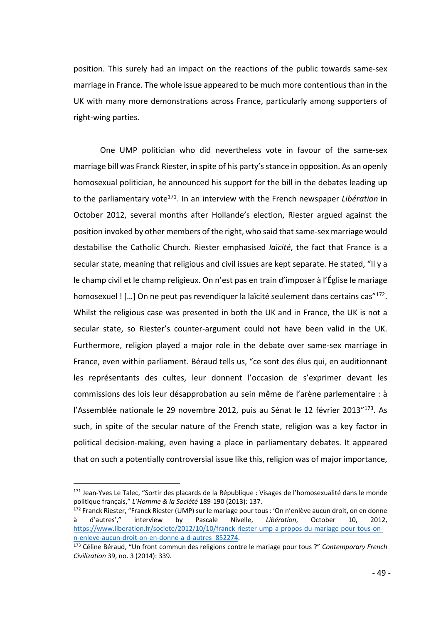position. This surely had an impact on the reactions of the public towards same-sex marriage in France. The whole issue appeared to be much more contentious than in the UK with many more demonstrations across France, particularly among supporters of right-wing parties.

One UMP politician who did nevertheless vote in favour of the same-sex marriage bill was Franck Riester, in spite of his party's stance in opposition. As an openly homosexual politician, he announced his support for the bill in the debates leading up to the parliamentary vote<sup>171</sup>. In an interview with the French newspaper *Libération* in October 2012, several months after Hollande's election, Riester argued against the position invoked by other members of the right, who said that same-sex marriage would destabilise the Catholic Church. Riester emphasised *laïcité*, the fact that France is a secular state, meaning that religious and civil issues are kept separate. He stated, "Il y a le champ civil et le champ religieux. On n'est pas en train d'imposer à l'Église le mariage homosexuel ! [...] On ne peut pas revendiquer la laïcité seulement dans certains cas"<sup>172</sup>. Whilst the religious case was presented in both the UK and in France, the UK is not a secular state, so Riester's counter-argument could not have been valid in the UK. Furthermore, religion played a major role in the debate over same-sex marriage in France, even within parliament. Béraud tells us, "ce sont des élus qui, en auditionnant les représentants des cultes, leur donnent l'occasion de s'exprimer devant les commissions des lois leur désapprobation au sein même de l'arène parlementaire : à l'Assemblée nationale le 29 novembre 2012, puis au Sénat le 12 février 2013"173. As such, in spite of the secular nature of the French state, religion was a key factor in political decision-making, even having a place in parliamentary debates. It appeared that on such a potentially controversial issue like this, religion was of major importance,

<sup>&</sup>lt;sup>171</sup> Jean-Yves Le Talec, "Sortir des placards de la République : Visages de l'homosexualité dans le monde politique français," *L'Homme & la Société* 189-190 (2013): 137.

<sup>172</sup> Franck Riester, "Franck Riester (UMP) sur le mariage pour tous : 'On n'enlève aucun droit, on en donne à d'autres'," interview by Pascale Nivelle, *Libération*, October 10, 2012, https://www.liberation.fr/societe/2012/10/10/franck-riester-ump-a-propos-du-mariage-pour-tous-onn-enleve-aucun-droit-on-en-donne-a-d-autres\_852274.

<sup>173</sup> Céline Béraud, "Un front commun des religions contre le mariage pour tous ?" *Contemporary French Civilization* 39, no. 3 (2014): 339.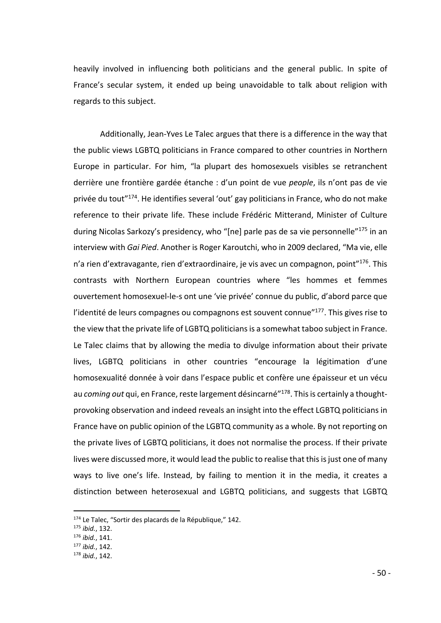heavily involved in influencing both politicians and the general public. In spite of France's secular system, it ended up being unavoidable to talk about religion with regards to this subject.

Additionally, Jean-Yves Le Talec argues that there is a difference in the way that the public views LGBTQ politicians in France compared to other countries in Northern Europe in particular. For him, "la plupart des homosexuels visibles se retranchent derrière une frontière gardée étanche : d'un point de vue *people*, ils n'ont pas de vie privée du tout"<sup>174</sup>. He identifies several 'out' gay politicians in France, who do not make reference to their private life. These include Frédéric Mitterand, Minister of Culture during Nicolas Sarkozy's presidency, who "[ne] parle pas de sa vie personnelle"<sup>175</sup> in an interview with *Gai Pied*. Another is Roger Karoutchi, who in 2009 declared, "Ma vie, elle n'a rien d'extravagante, rien d'extraordinaire, je vis avec un compagnon, point"176. This contrasts with Northern European countries where "les hommes et femmes ouvertement homosexuel-le-s ont une 'vie privée' connue du public, d'abord parce que l'identité de leurs compagnes ou compagnons est souvent connue<sup>"177</sup>. This gives rise to the view that the private life of LGBTQ politicians is a somewhat taboo subject in France. Le Talec claims that by allowing the media to divulge information about their private lives, LGBTQ politicians in other countries "encourage la légitimation d'une homosexualité donnée à voir dans l'espace public et confère une épaisseur et un vécu au *coming out* qui, en France, reste largement désincarné"178. This is certainly a thoughtprovoking observation and indeed reveals an insight into the effect LGBTQ politicians in France have on public opinion of the LGBTQ community as a whole. By not reporting on the private lives of LGBTQ politicians, it does not normalise the process. If their private lives were discussed more, it would lead the public to realise that this is just one of many ways to live one's life. Instead, by failing to mention it in the media, it creates a distinction between heterosexual and LGBTQ politicians, and suggests that LGBTQ

<sup>174</sup> Le Talec, "Sortir des placards de la République," 142.

<sup>175</sup> *ibid.*, 132.

<sup>176</sup> *ibid.*, 141.

<sup>177</sup> *ibid.*, 142.

<sup>178</sup> *ibid.*, 142.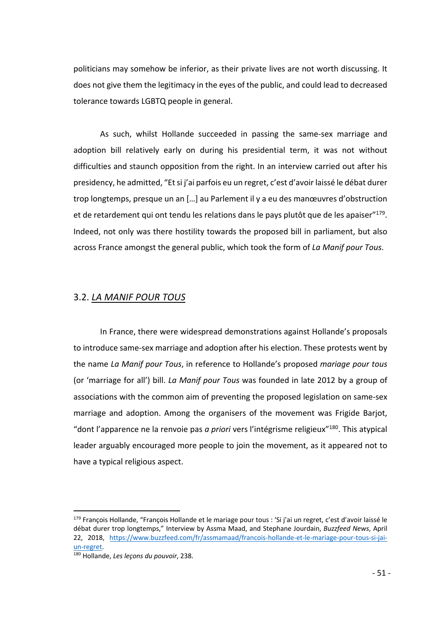politicians may somehow be inferior, as their private lives are not worth discussing. It does not give them the legitimacy in the eyes of the public, and could lead to decreased tolerance towards LGBTQ people in general.

As such, whilst Hollande succeeded in passing the same-sex marriage and adoption bill relatively early on during his presidential term, it was not without difficulties and staunch opposition from the right. In an interview carried out after his presidency, he admitted, "Et si j'ai parfois eu un regret, c'est d'avoir laissé le débat durer trop longtemps, presque un an […] au Parlement il y a eu des manœuvres d'obstruction et de retardement qui ont tendu les relations dans le pays plutôt que de les apaiser"<sup>179</sup>. Indeed, not only was there hostility towards the proposed bill in parliament, but also across France amongst the general public, which took the form of *La Manif pour Tous*.

## 3.2. *LA MANIF POUR TOUS*

In France, there were widespread demonstrations against Hollande's proposals to introduce same-sex marriage and adoption after his election. These protests went by the name *La Manif pour Tous*, in reference to Hollande's proposed *mariage pour tous* (or 'marriage for all') bill. *La Manif pour Tous* was founded in late 2012 by a group of associations with the common aim of preventing the proposed legislation on same-sex marriage and adoption. Among the organisers of the movement was Frigide Barjot, "dont l'apparence ne la renvoie pas *a priori* vers l'intégrisme religieux"180. This atypical leader arguably encouraged more people to join the movement, as it appeared not to have a typical religious aspect.

<sup>&</sup>lt;sup>179</sup> François Hollande, "François Hollande et le mariage pour tous : 'Si j'ai un regret, c'est d'avoir laissé le débat durer trop longtemps," Interview by Assma Maad, and Stephane Jourdain, *Buzzfeed News*, April 22, 2018, https://www.buzzfeed.com/fr/assmamaad/francois-hollande-et-le-mariage-pour-tous-si-jaiun-regret.

<sup>180</sup> Hollande, *Les leçons du pouvoir*, 238.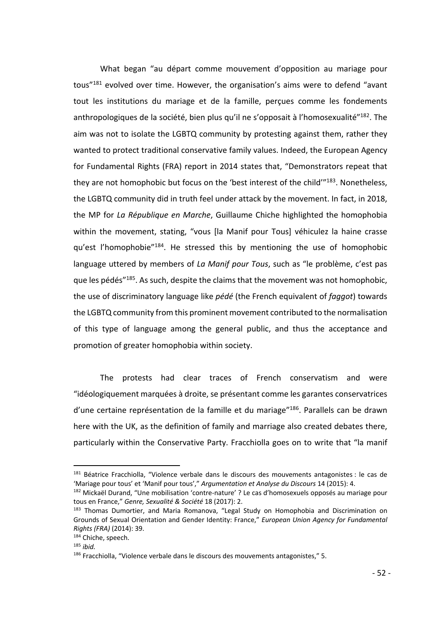What began "au départ comme mouvement d'opposition au mariage pour tous"181 evolved over time. However, the organisation's aims were to defend "avant tout les institutions du mariage et de la famille, perçues comme les fondements anthropologiques de la société, bien plus qu'il ne s'opposait à l'homosexualité"182. The aim was not to isolate the LGBTQ community by protesting against them, rather they wanted to protect traditional conservative family values. Indeed, the European Agency for Fundamental Rights (FRA) report in 2014 states that, "Demonstrators repeat that they are not homophobic but focus on the 'best interest of the child'"<sup>183</sup>. Nonetheless, the LGBTQ community did in truth feel under attack by the movement. In fact, in 2018, the MP for *La République en Marche*, Guillaume Chiche highlighted the homophobia within the movement, stating, "vous [la Manif pour Tous] véhiculez la haine crasse qu'est l'homophobie"184. He stressed this by mentioning the use of homophobic language uttered by members of *La Manif pour Tous*, such as "le problème, c'est pas que les pédés<sup>"185</sup>. As such, despite the claims that the movement was not homophobic, the use of discriminatory language like *pédé* (the French equivalent of *faggot*) towards the LGBTQ community from this prominent movement contributed to the normalisation of this type of language among the general public, and thus the acceptance and promotion of greater homophobia within society.

The protests had clear traces of French conservatism and were "idéologiquement marquées à droite, se présentant comme les garantes conservatrices d'une certaine représentation de la famille et du mariage"<sup>186</sup>. Parallels can be drawn here with the UK, as the definition of family and marriage also created debates there, particularly within the Conservative Party. Fracchiolla goes on to write that "la manif

<sup>&</sup>lt;sup>181</sup> Béatrice Fracchiolla, "Violence verbale dans le discours des mouvements antagonistes : le cas de 'Mariage pour tous' et 'Manif pour tous'," *Argumentation et Analyse du Discours* 14 (2015): 4.

<sup>&</sup>lt;sup>182</sup> Mickaël Durand, "Une mobilisation 'contre-nature' ? Le cas d'homosexuels opposés au mariage pour tous en France," *Genre, Sexualité & Société* 18 (2017): 2.

<sup>183</sup> Thomas Dumortier, and Maria Romanova, "Legal Study on Homophobia and Discrimination on Grounds of Sexual Orientation and Gender Identity: France," *European Union Agency for Fundamental Rights (FRA)* (2014): 39. 184 Chiche, speech.

<sup>185</sup> *ibid.*

<sup>186</sup> Fracchiolla, "Violence verbale dans le discours des mouvements antagonistes," 5.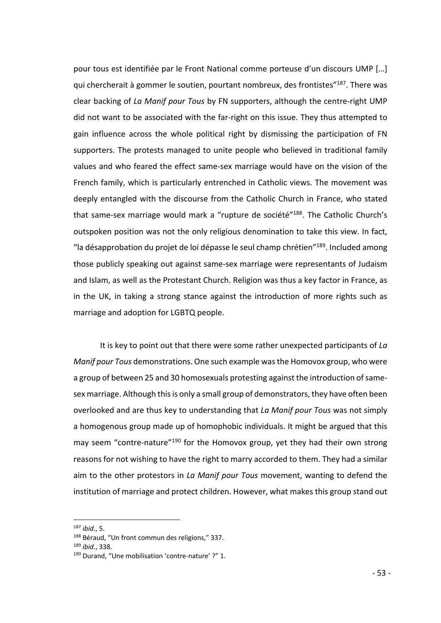pour tous est identifiée par le Front National comme porteuse d'un discours UMP […] qui chercherait à gommer le soutien, pourtant nombreux, des frontistes"187. There was clear backing of *La Manif pour Tous* by FN supporters, although the centre-right UMP did not want to be associated with the far-right on this issue. They thus attempted to gain influence across the whole political right by dismissing the participation of FN supporters. The protests managed to unite people who believed in traditional family values and who feared the effect same-sex marriage would have on the vision of the French family, which is particularly entrenched in Catholic views. The movement was deeply entangled with the discourse from the Catholic Church in France, who stated that same-sex marriage would mark a "rupture de société"<sup>188</sup>. The Catholic Church's outspoken position was not the only religious denomination to take this view. In fact, "la désapprobation du projet de loi dépasse le seul champ chrétien" $^{189}$ . Included among those publicly speaking out against same-sex marriage were representants of Judaism and Islam, as well as the Protestant Church. Religion was thus a key factor in France, as in the UK, in taking a strong stance against the introduction of more rights such as marriage and adoption for LGBTQ people.

It is key to point out that there were some rather unexpected participants of *La Manif pour Tous* demonstrations. One such example was the Homovox group, who were a group of between 25 and 30 homosexuals protesting against the introduction of samesex marriage. Although this is only a small group of demonstrators, they have often been overlooked and are thus key to understanding that *La Manif pour Tous* was not simply a homogenous group made up of homophobic individuals. It might be argued that this may seem "contre-nature"<sup>190</sup> for the Homovox group, yet they had their own strong reasons for not wishing to have the right to marry accorded to them. They had a similar aim to the other protestors in *La Manif pour Tous* movement, wanting to defend the institution of marriage and protect children. However, what makes this group stand out

 <sup>187</sup> *ibid.*, 5.

<sup>&</sup>lt;sup>188</sup> Béraud, "Un front commun des religions," 337.

<sup>189</sup> *ibid.*, 338.

<sup>190</sup> Durand, "Une mobilisation 'contre-nature' ?" 1.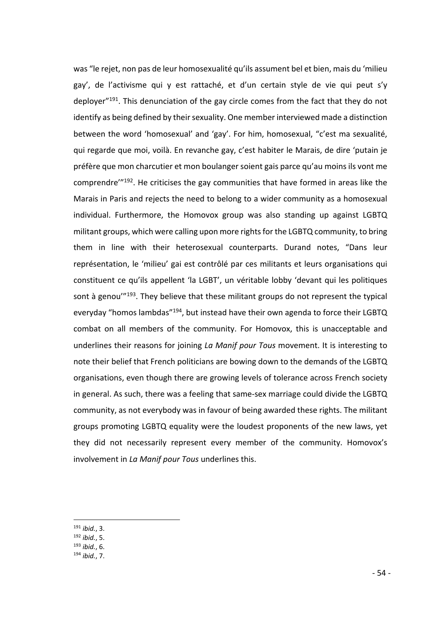was "le rejet, non pas de leur homosexualité qu'ils assument bel et bien, mais du 'milieu gay', de l'activisme qui y est rattaché, et d'un certain style de vie qui peut s'y deployer<sup>"191</sup>. This denunciation of the gay circle comes from the fact that they do not identify as being defined by their sexuality. One member interviewed made a distinction between the word 'homosexual' and 'gay'. For him, homosexual, "c'est ma sexualité, qui regarde que moi, voilà. En revanche gay, c'est habiter le Marais, de dire 'putain je préfère que mon charcutier et mon boulanger soient gais parce qu'au moins ils vont me comprendre'"192. He criticises the gay communities that have formed in areas like the Marais in Paris and rejects the need to belong to a wider community as a homosexual individual. Furthermore, the Homovox group was also standing up against LGBTQ militant groups, which were calling upon more rights for the LGBTQ community, to bring them in line with their heterosexual counterparts. Durand notes, "Dans leur représentation, le 'milieu' gai est contrôlé par ces militants et leurs organisations qui constituent ce qu'ils appellent 'la LGBT', un véritable lobby 'devant qui les politiques sont à genou'<sup>"193</sup>. They believe that these militant groups do not represent the typical everyday "homos lambdas"<sup>194</sup>, but instead have their own agenda to force their LGBTQ combat on all members of the community. For Homovox, this is unacceptable and underlines their reasons for joining *La Manif pour Tous* movement. It is interesting to note their belief that French politicians are bowing down to the demands of the LGBTQ organisations, even though there are growing levels of tolerance across French society in general. As such, there was a feeling that same-sex marriage could divide the LGBTQ community, as not everybody was in favour of being awarded these rights. The militant groups promoting LGBTQ equality were the loudest proponents of the new laws, yet they did not necessarily represent every member of the community. Homovox's involvement in *La Manif pour Tous* underlines this.

<sup>192</sup> *ibid.*, 5.

 <sup>191</sup> *ibid.*, 3.

<sup>193</sup> *ibid.*, 6.

<sup>194</sup> *ibid.*, 7.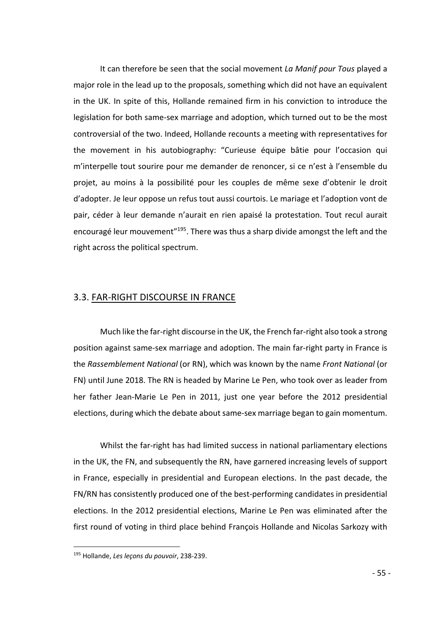It can therefore be seen that the social movement *La Manif pour Tous* played a major role in the lead up to the proposals, something which did not have an equivalent in the UK. In spite of this, Hollande remained firm in his conviction to introduce the legislation for both same-sex marriage and adoption, which turned out to be the most controversial of the two. Indeed, Hollande recounts a meeting with representatives for the movement in his autobiography: "Curieuse équipe bâtie pour l'occasion qui m'interpelle tout sourire pour me demander de renoncer, si ce n'est à l'ensemble du projet, au moins à la possibilité pour les couples de même sexe d'obtenir le droit d'adopter. Je leur oppose un refus tout aussi courtois. Le mariage et l'adoption vont de pair, céder à leur demande n'aurait en rien apaisé la protestation. Tout recul aurait encouragé leur mouvement"195. There was thus a sharp divide amongst the left and the right across the political spectrum.

## 3.3. FAR-RIGHT DISCOURSE IN FRANCE

Much like the far-right discourse in the UK, the French far-right also took a strong position against same-sex marriage and adoption. The main far-right party in France is the *Rassemblement National* (or RN), which was known by the name *Front National* (or FN) until June 2018. The RN is headed by Marine Le Pen, who took over as leader from her father Jean-Marie Le Pen in 2011, just one year before the 2012 presidential elections, during which the debate about same-sex marriage began to gain momentum.

Whilst the far-right has had limited success in national parliamentary elections in the UK, the FN, and subsequently the RN, have garnered increasing levels of support in France, especially in presidential and European elections. In the past decade, the FN/RN has consistently produced one of the best-performing candidates in presidential elections. In the 2012 presidential elections, Marine Le Pen was eliminated after the first round of voting in third place behind François Hollande and Nicolas Sarkozy with

 <sup>195</sup> Hollande, *Les leçons du pouvoir*, 238-239.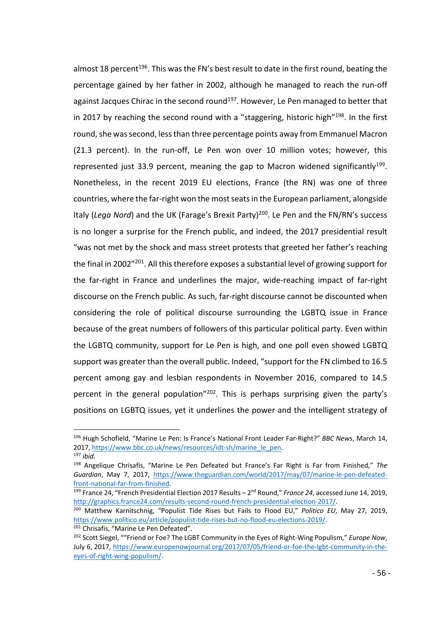almost 18 percent<sup>196</sup>. This was the FN's best result to date in the first round, beating the percentage gained by her father in 2002, although he managed to reach the run-off against Jacques Chirac in the second round<sup>197</sup>. However, Le Pen managed to better that in 2017 by reaching the second round with a "staggering, historic high"<sup>198</sup>. In the first round, she was second, less than three percentage points away from Emmanuel Macron (21.3 percent). In the run-off, Le Pen won over 10 million votes; however, this represented just 33.9 percent, meaning the gap to Macron widened significantly<sup>199</sup>. Nonetheless, in the recent 2019 EU elections, France (the RN) was one of three countries, where the far-right won the most seats in the European parliament, alongside Italy (*Lega Nord*) and the UK (Farage's Brexit Party)<sup>200</sup>. Le Pen and the FN/RN's success is no longer a surprise for the French public, and indeed, the 2017 presidential result "was not met by the shock and mass street protests that greeted her father's reaching the final in 2002<sup>"201</sup>. All this therefore exposes a substantial level of growing support for the far-right in France and underlines the major, wide-reaching impact of far-right discourse on the French public. As such, far-right discourse cannot be discounted when considering the role of political discourse surrounding the LGBTQ issue in France because of the great numbers of followers of this particular political party. Even within the LGBTQ community, support for Le Pen is high, and one poll even showed LGBTQ support was greater than the overall public. Indeed, "support for the FN climbed to 16.5 percent among gay and lesbian respondents in November 2016, compared to 14.5 percent in the general population<sup>"202</sup>. This is perhaps surprising given the party's positions on LGBTQ issues, yet it underlines the power and the intelligent strategy of

 <sup>196</sup> Hugh Schofield, "Marine Le Pen: Is France's National Front Leader Far-Right?" *BBC News*, March 14, 2017, https://www.bbc.co.uk/news/resources/idt-sh/marine\_le\_pen. <sup>197</sup> *ibid.*

<sup>198</sup> Angelique Chrisafis, "Marine Le Pen Defeated but France's Far Right is Far from Finished," *The Guardian*, May 7, 2017, https://www.theguardian.com/world/2017/may/07/marine-le-pen-defeatedfront-national-far-from-finished.

<sup>199</sup> France 24, "French Presidential Election 2017 Results – 2nd Round," *France 24*, accessed June 14, 2019, http://graphics.france24.com/results-second-round-french-presidential-election-2017/.

<sup>200</sup> Matthew Karnitschnig, "Populist Tide Rises but Fails to Flood EU," *Politico EU*, May 27, 2019, https://www.politico.eu/article/populist-tide-rises-but-no-flood-eu-elections-2019/. <sup>201</sup> Chrisafis, "Marine Le Pen Defeated".

<sup>202</sup> Scott Siegel, ""Friend or Foe? The LGBT Community in the Eyes of Right-Wing Populism," *Europe Now*, July 6, 2017, https://www.europenowjournal.org/2017/07/05/friend-or-foe-the-lgbt-community-in-theeyes-of-right-wing-populism/.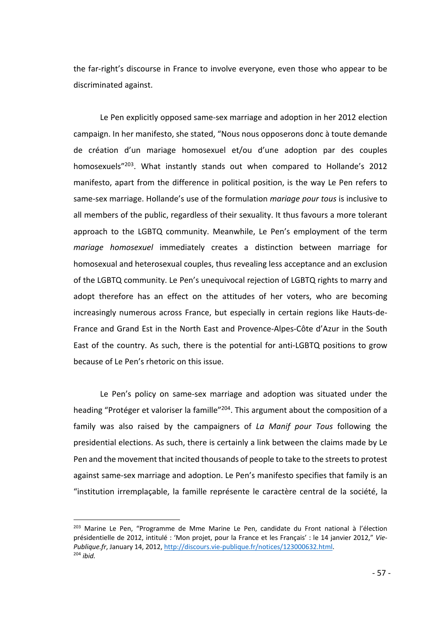the far-right's discourse in France to involve everyone, even those who appear to be discriminated against.

Le Pen explicitly opposed same-sex marriage and adoption in her 2012 election campaign. In her manifesto, she stated, "Nous nous opposerons donc à toute demande de création d'un mariage homosexuel et/ou d'une adoption par des couples homosexuels<sup>"203</sup>. What instantly stands out when compared to Hollande's 2012 manifesto, apart from the difference in political position, is the way Le Pen refers to same-sex marriage. Hollande's use of the formulation *mariage pour tous* is inclusive to all members of the public, regardless of their sexuality. It thus favours a more tolerant approach to the LGBTQ community. Meanwhile, Le Pen's employment of the term *mariage homosexuel* immediately creates a distinction between marriage for homosexual and heterosexual couples, thus revealing less acceptance and an exclusion of the LGBTQ community. Le Pen's unequivocal rejection of LGBTQ rights to marry and adopt therefore has an effect on the attitudes of her voters, who are becoming increasingly numerous across France, but especially in certain regions like Hauts-de-France and Grand Est in the North East and Provence-Alpes-Côte d'Azur in the South East of the country. As such, there is the potential for anti-LGBTQ positions to grow because of Le Pen's rhetoric on this issue.

Le Pen's policy on same-sex marriage and adoption was situated under the heading "Protéger et valoriser la famille"<sup>204</sup>. This argument about the composition of a family was also raised by the campaigners of *La Manif pour Tous* following the presidential elections. As such, there is certainly a link between the claims made by Le Pen and the movement that incited thousands of people to take to the streets to protest against same-sex marriage and adoption. Le Pen's manifesto specifies that family is an "institution irremplaçable, la famille représente le caractère central de la société, la

<sup>&</sup>lt;sup>203</sup> Marine Le Pen, "Programme de Mme Marine Le Pen, candidate du Front national à l'élection présidentielle de 2012, intitulé : 'Mon projet, pour la France et les Français' : le 14 janvier 2012," *Vie-Publique.fr*, January 14, 2012, http://discours.vie-publique.fr/notices/123000632.html. <sup>204</sup> *ibid.*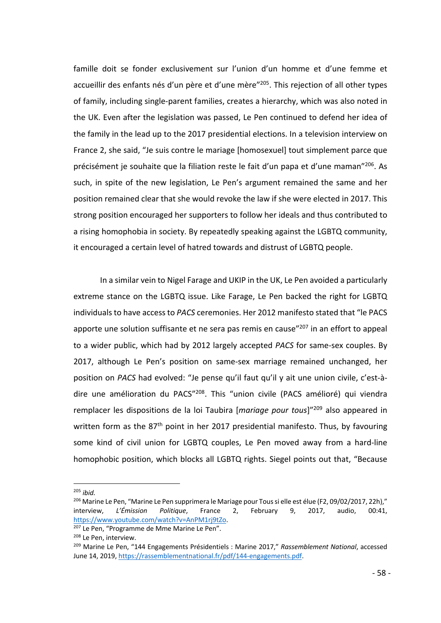famille doit se fonder exclusivement sur l'union d'un homme et d'une femme et accueillir des enfants nés d'un père et d'une mère"<sup>205</sup>. This rejection of all other types of family, including single-parent families, creates a hierarchy, which was also noted in the UK. Even after the legislation was passed, Le Pen continued to defend her idea of the family in the lead up to the 2017 presidential elections. In a television interview on France 2, she said, "Je suis contre le mariage [homosexuel] tout simplement parce que précisément je souhaite que la filiation reste le fait d'un papa et d'une maman"206. As such, in spite of the new legislation, Le Pen's argument remained the same and her position remained clear that she would revoke the law if she were elected in 2017. This strong position encouraged her supporters to follow her ideals and thus contributed to a rising homophobia in society. By repeatedly speaking against the LGBTQ community, it encouraged a certain level of hatred towards and distrust of LGBTQ people.

In a similar vein to Nigel Farage and UKIP in the UK, Le Pen avoided a particularly extreme stance on the LGBTQ issue. Like Farage, Le Pen backed the right for LGBTQ individuals to have access to *PACS* ceremonies. Her 2012 manifesto stated that "le PACS apporte une solution suffisante et ne sera pas remis en cause"<sup>207</sup> in an effort to appeal to a wider public, which had by 2012 largely accepted *PACS* for same-sex couples. By 2017, although Le Pen's position on same-sex marriage remained unchanged, her position on *PACS* had evolved: "Je pense qu'il faut qu'il y ait une union civile, c'est-àdire une amélioration du PACS"208. This "union civile (PACS amélioré) qui viendra remplacer les dispositions de la loi Taubira [*mariage pour tous*]"209 also appeared in written form as the 87<sup>th</sup> point in her 2017 presidential manifesto. Thus, by favouring some kind of civil union for LGBTQ couples, Le Pen moved away from a hard-line homophobic position, which blocks all LGBTQ rights. Siegel points out that, "Because

 <sup>205</sup> *ibid.*

<sup>&</sup>lt;sup>206</sup> Marine Le Pen, "Marine Le Pen supprimera le Mariage pour Tous si elle est élue (F2, 09/02/2017, 22h)," interview, *L'Émission Politique*, France 2, February 9, 2017, audio, 00:41, https://www.youtube.com/watch?v=AnPM1rj9tZo.

<sup>&</sup>lt;sup>207</sup> Le Pen, "Programme de Mme Marine Le Pen".

<sup>&</sup>lt;sup>208</sup> Le Pen, interview.

<sup>209</sup> Marine Le Pen, "144 Engagements Présidentiels : Marine 2017," *Rassemblement National*, accessed June 14, 2019, https://rassemblementnational.fr/pdf/144-engagements.pdf.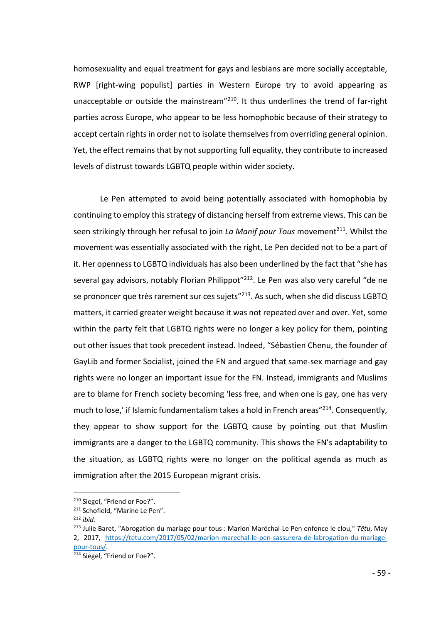homosexuality and equal treatment for gays and lesbians are more socially acceptable, RWP [right-wing populist] parties in Western Europe try to avoid appearing as unacceptable or outside the mainstream"210. It thus underlines the trend of far-right parties across Europe, who appear to be less homophobic because of their strategy to accept certain rights in order not to isolate themselves from overriding general opinion. Yet, the effect remains that by not supporting full equality, they contribute to increased levels of distrust towards LGBTQ people within wider society.

Le Pen attempted to avoid being potentially associated with homophobia by continuing to employ this strategy of distancing herself from extreme views. This can be seen strikingly through her refusal to join *La Manif pour Tous* movement<sup>211</sup>. Whilst the movement was essentially associated with the right, Le Pen decided not to be a part of it. Her openness to LGBTQ individuals has also been underlined by the fact that "she has several gay advisors, notably Florian Philippot<sup>"212</sup>. Le Pen was also very careful "de ne se prononcer que très rarement sur ces sujets"<sup>213</sup>. As such, when she did discuss LGBTQ matters, it carried greater weight because it was not repeated over and over. Yet, some within the party felt that LGBTQ rights were no longer a key policy for them, pointing out other issues that took precedent instead. Indeed, "Sébastien Chenu, the founder of GayLib and former Socialist, joined the FN and argued that same-sex marriage and gay rights were no longer an important issue for the FN. Instead, immigrants and Muslims are to blame for French society becoming 'less free, and when one is gay, one has very much to lose,' if Islamic fundamentalism takes a hold in French areas"<sup>214</sup>. Consequently, they appear to show support for the LGBTQ cause by pointing out that Muslim immigrants are a danger to the LGBTQ community. This shows the FN's adaptability to the situation, as LGBTQ rights were no longer on the political agenda as much as immigration after the 2015 European migrant crisis.

 <sup>210</sup> Siegel, "Friend or Foe?".

<sup>211</sup> Schofield, "Marine Le Pen".

<sup>212</sup> *ibid.*

<sup>213</sup> Julie Baret, "Abrogation du mariage pour tous : Marion Maréchal-Le Pen enfonce le clou," *Têtu*, May 2, 2017, https://tetu.com/2017/05/02/marion-marechal-le-pen-sassurera-de-labrogation-du-mariagepour-tous/.

<sup>&</sup>lt;sup>214</sup> Siegel, "Friend or Foe?".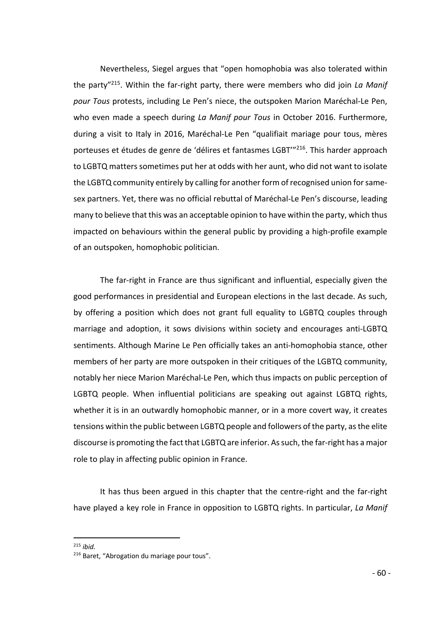Nevertheless, Siegel argues that "open homophobia was also tolerated within the party"215. Within the far-right party, there were members who did join *La Manif pour Tous* protests, including Le Pen's niece, the outspoken Marion Maréchal-Le Pen, who even made a speech during *La Manif pour Tous* in October 2016. Furthermore, during a visit to Italy in 2016, Maréchal-Le Pen "qualifiait mariage pour tous, mères porteuses et études de genre de 'délires et fantasmes LGBT'"216. This harder approach to LGBTQ matters sometimes put her at odds with her aunt, who did not want to isolate the LGBTQ community entirely by calling for another form of recognised union for samesex partners. Yet, there was no official rebuttal of Maréchal-Le Pen's discourse, leading many to believe that this was an acceptable opinion to have within the party, which thus impacted on behaviours within the general public by providing a high-profile example of an outspoken, homophobic politician.

The far-right in France are thus significant and influential, especially given the good performances in presidential and European elections in the last decade. As such, by offering a position which does not grant full equality to LGBTQ couples through marriage and adoption, it sows divisions within society and encourages anti-LGBTQ sentiments. Although Marine Le Pen officially takes an anti-homophobia stance, other members of her party are more outspoken in their critiques of the LGBTQ community, notably her niece Marion Maréchal-Le Pen, which thus impacts on public perception of LGBTQ people. When influential politicians are speaking out against LGBTQ rights, whether it is in an outwardly homophobic manner, or in a more covert way, it creates tensions within the public between LGBTQ people and followers of the party, as the elite discourse is promoting the fact that LGBTQ are inferior. As such, the far-right has a major role to play in affecting public opinion in France.

It has thus been argued in this chapter that the centre-right and the far-right have played a key role in France in opposition to LGBTQ rights. In particular, *La Manif* 

215 *ibid.*

<sup>216</sup> Baret, "Abrogation du mariage pour tous".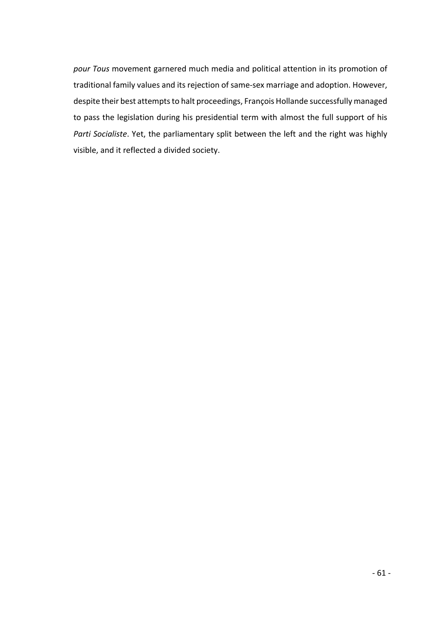*pour Tous* movement garnered much media and political attention in its promotion of traditional family values and its rejection of same-sex marriage and adoption. However, despite their best attempts to halt proceedings, François Hollande successfully managed to pass the legislation during his presidential term with almost the full support of his *Parti Socialiste*. Yet, the parliamentary split between the left and the right was highly visible, and it reflected a divided society.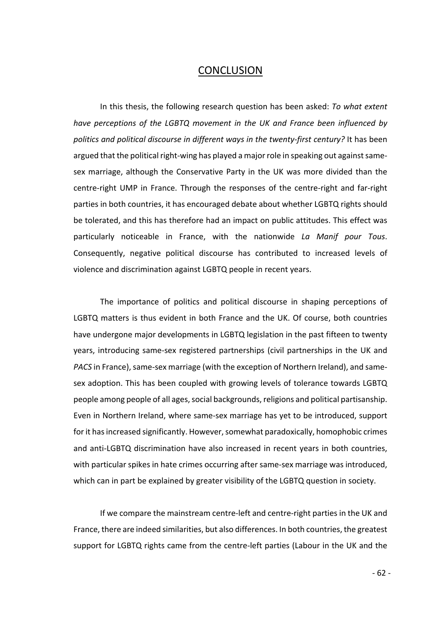# **CONCLUSION**

In this thesis, the following research question has been asked: *To what extent have perceptions of the LGBTQ movement in the UK and France been influenced by politics and political discourse in different ways in the twenty-first century?* It has been argued that the political right-wing has played a major role in speaking out against samesex marriage, although the Conservative Party in the UK was more divided than the centre-right UMP in France. Through the responses of the centre-right and far-right parties in both countries, it has encouraged debate about whether LGBTQ rights should be tolerated, and this has therefore had an impact on public attitudes. This effect was particularly noticeable in France, with the nationwide *La Manif pour Tous*. Consequently, negative political discourse has contributed to increased levels of violence and discrimination against LGBTQ people in recent years.

The importance of politics and political discourse in shaping perceptions of LGBTQ matters is thus evident in both France and the UK. Of course, both countries have undergone major developments in LGBTQ legislation in the past fifteen to twenty years, introducing same-sex registered partnerships (civil partnerships in the UK and *PACS* in France), same-sex marriage (with the exception of Northern Ireland), and samesex adoption. This has been coupled with growing levels of tolerance towards LGBTQ people among people of all ages, social backgrounds, religions and political partisanship. Even in Northern Ireland, where same-sex marriage has yet to be introduced, support for it has increased significantly. However, somewhat paradoxically, homophobic crimes and anti-LGBTQ discrimination have also increased in recent years in both countries, with particular spikes in hate crimes occurring after same-sex marriage was introduced, which can in part be explained by greater visibility of the LGBTQ question in society.

If we compare the mainstream centre-left and centre-right parties in the UK and France, there are indeed similarities, but also differences. In both countries, the greatest support for LGBTQ rights came from the centre-left parties (Labour in the UK and the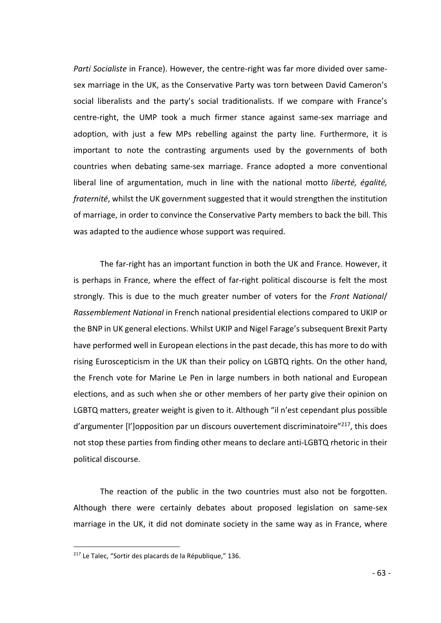*Parti Socialiste* in France). However, the centre-right was far more divided over samesex marriage in the UK, as the Conservative Party was torn between David Cameron's social liberalists and the party's social traditionalists. If we compare with France's centre-right, the UMP took a much firmer stance against same-sex marriage and adoption, with just a few MPs rebelling against the party line. Furthermore, it is important to note the contrasting arguments used by the governments of both countries when debating same-sex marriage. France adopted a more conventional liberal line of argumentation, much in line with the national motto *liberté, égalité, fraternité*, whilst the UK government suggested that it would strengthen the institution of marriage, in order to convince the Conservative Party members to back the bill. This was adapted to the audience whose support was required.

The far-right has an important function in both the UK and France. However, it is perhaps in France, where the effect of far-right political discourse is felt the most strongly. This is due to the much greater number of voters for the *Front National*/ *Rassemblement National* in French national presidential elections compared to UKIP or the BNP in UK general elections. Whilst UKIP and Nigel Farage's subsequent Brexit Party have performed well in European elections in the past decade, this has more to do with rising Euroscepticism in the UK than their policy on LGBTQ rights. On the other hand, the French vote for Marine Le Pen in large numbers in both national and European elections, and as such when she or other members of her party give their opinion on LGBTQ matters, greater weight is given to it. Although "il n'est cependant plus possible  $d'$ argumenter [l']opposition par un discours ouvertement discriminatoire $"^{217}$ , this does not stop these parties from finding other means to declare anti-LGBTQ rhetoric in their political discourse.

The reaction of the public in the two countries must also not be forgotten. Although there were certainly debates about proposed legislation on same-sex marriage in the UK, it did not dominate society in the same way as in France, where

 <sup>217</sup> Le Talec, "Sortir des placards de la République," 136.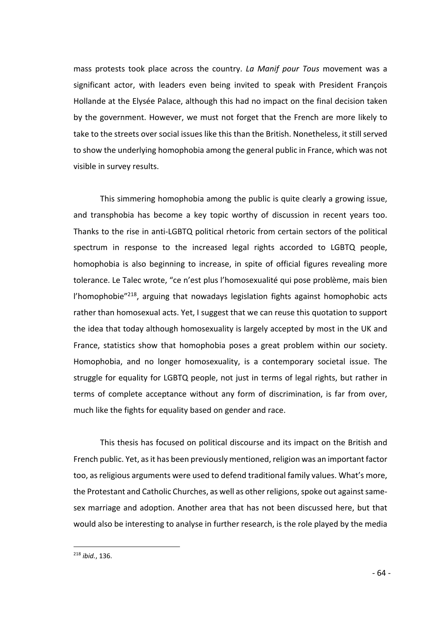mass protests took place across the country. *La Manif pour Tous* movement was a significant actor, with leaders even being invited to speak with President François Hollande at the Elysée Palace, although this had no impact on the final decision taken by the government. However, we must not forget that the French are more likely to take to the streets over social issues like this than the British. Nonetheless, it still served to show the underlying homophobia among the general public in France, which was not visible in survey results.

This simmering homophobia among the public is quite clearly a growing issue, and transphobia has become a key topic worthy of discussion in recent years too. Thanks to the rise in anti-LGBTQ political rhetoric from certain sectors of the political spectrum in response to the increased legal rights accorded to LGBTQ people, homophobia is also beginning to increase, in spite of official figures revealing more tolerance. Le Talec wrote, "ce n'est plus l'homosexualité qui pose problème, mais bien l'homophobie"218, arguing that nowadays legislation fights against homophobic acts rather than homosexual acts. Yet, I suggest that we can reuse this quotation to support the idea that today although homosexuality is largely accepted by most in the UK and France, statistics show that homophobia poses a great problem within our society. Homophobia, and no longer homosexuality, is a contemporary societal issue. The struggle for equality for LGBTQ people, not just in terms of legal rights, but rather in terms of complete acceptance without any form of discrimination, is far from over, much like the fights for equality based on gender and race.

This thesis has focused on political discourse and its impact on the British and French public. Yet, as it has been previously mentioned, religion was an important factor too, as religious arguments were used to defend traditional family values. What's more, the Protestant and Catholic Churches, as well as other religions, spoke out against samesex marriage and adoption. Another area that has not been discussed here, but that would also be interesting to analyse in further research, is the role played by the media

 <sup>218</sup> *ibid.*, 136.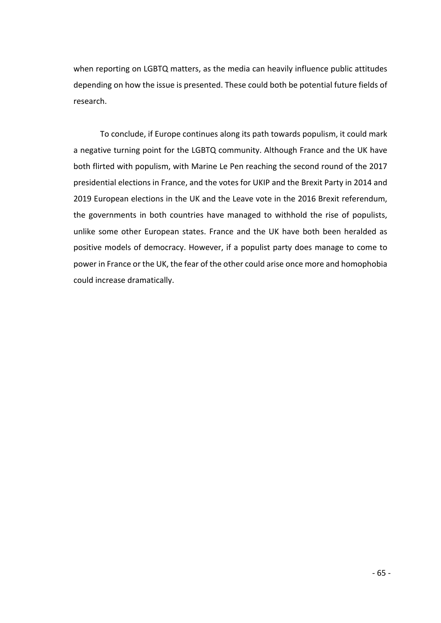when reporting on LGBTQ matters, as the media can heavily influence public attitudes depending on how the issue is presented. These could both be potential future fields of research.

To conclude, if Europe continues along its path towards populism, it could mark a negative turning point for the LGBTQ community. Although France and the UK have both flirted with populism, with Marine Le Pen reaching the second round of the 2017 presidential elections in France, and the votes for UKIP and the Brexit Party in 2014 and 2019 European elections in the UK and the Leave vote in the 2016 Brexit referendum, the governments in both countries have managed to withhold the rise of populists, unlike some other European states. France and the UK have both been heralded as positive models of democracy. However, if a populist party does manage to come to power in France or the UK, the fear of the other could arise once more and homophobia could increase dramatically.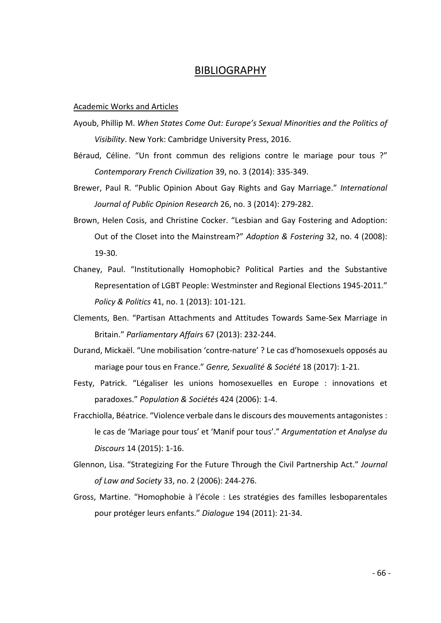## BIBLIOGRAPHY

#### Academic Works and Articles

- Ayoub, Phillip M. *When States Come Out: Europe's Sexual Minorities and the Politics of Visibility*. New York: Cambridge University Press, 2016.
- Béraud, Céline. "Un front commun des religions contre le mariage pour tous ?" *Contemporary French Civilization* 39, no. 3 (2014): 335-349.
- Brewer, Paul R. "Public Opinion About Gay Rights and Gay Marriage." *International Journal of Public Opinion Research* 26, no. 3 (2014): 279-282.
- Brown, Helen Cosis, and Christine Cocker. "Lesbian and Gay Fostering and Adoption: Out of the Closet into the Mainstream?" *Adoption & Fostering* 32, no. 4 (2008): 19-30.
- Chaney, Paul. "Institutionally Homophobic? Political Parties and the Substantive Representation of LGBT People: Westminster and Regional Elections 1945-2011." *Policy & Politics* 41, no. 1 (2013): 101-121.
- Clements, Ben. "Partisan Attachments and Attitudes Towards Same-Sex Marriage in Britain." *Parliamentary Affairs* 67 (2013): 232-244.
- Durand, Mickaël. "Une mobilisation 'contre-nature' ? Le cas d'homosexuels opposés au mariage pour tous en France." *Genre, Sexualité & Société* 18 (2017): 1-21.
- Festy, Patrick. "Légaliser les unions homosexuelles en Europe : innovations et paradoxes." *Population & Sociétés* 424 (2006): 1-4.
- Fracchiolla, Béatrice. "Violence verbale dans le discours des mouvements antagonistes : le cas de 'Mariage pour tous' et 'Manif pour tous'." *Argumentation et Analyse du Discours* 14 (2015): 1-16.
- Glennon, Lisa. "Strategizing For the Future Through the Civil Partnership Act." *Journal of Law and Society* 33, no. 2 (2006): 244-276.
- Gross, Martine. "Homophobie à l'école : Les stratégies des familles lesboparentales pour protéger leurs enfants." *Dialogue* 194 (2011): 21-34.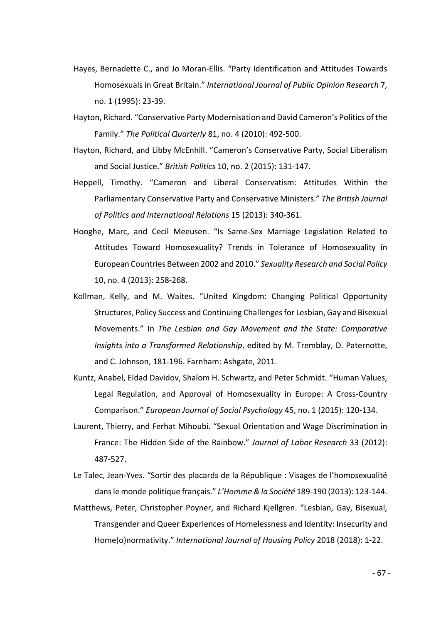- Hayes, Bernadette C., and Jo Moran-Ellis. "Party Identification and Attitudes Towards Homosexuals in Great Britain." *International Journal of Public Opinion Research* 7, no. 1 (1995): 23-39.
- Hayton, Richard. "Conservative Party Modernisation and David Cameron's Politics of the Family." *The Political Quarterly* 81, no. 4 (2010): 492-500.
- Hayton, Richard, and Libby McEnhill. "Cameron's Conservative Party, Social Liberalism and Social Justice." *British Politics* 10, no. 2 (2015): 131-147.
- Heppell, Timothy. "Cameron and Liberal Conservatism: Attitudes Within the Parliamentary Conservative Party and Conservative Ministers." *The British Journal of Politics and International Relations* 15 (2013): 340-361.
- Hooghe, Marc, and Cecil Meeusen. "Is Same-Sex Marriage Legislation Related to Attitudes Toward Homosexuality? Trends in Tolerance of Homosexuality in European Countries Between 2002 and 2010." *Sexuality Research and Social Policy*  10, no. 4 (2013): 258-268.
- Kollman, Kelly, and M. Waites. "United Kingdom: Changing Political Opportunity Structures, Policy Success and Continuing Challenges for Lesbian, Gay and Bisexual Movements." In *The Lesbian and Gay Movement and the State: Comparative Insights into a Transformed Relationship*, edited by M. Tremblay, D. Paternotte, and C. Johnson, 181-196. Farnham: Ashgate, 2011.
- Kuntz, Anabel, Eldad Davidov, Shalom H. Schwartz, and Peter Schmidt. "Human Values, Legal Regulation, and Approval of Homosexuality in Europe: A Cross-Country Comparison." *European Journal of Social Psychology* 45, no. 1 (2015): 120-134.
- Laurent, Thierry, and Ferhat Mihoubi. "Sexual Orientation and Wage Discrimination in France: The Hidden Side of the Rainbow." *Journal of Labor Research* 33 (2012): 487-527.

Le Talec, Jean-Yves. "Sortir des placards de la République : Visages de l'homosexualité dans le monde politique français." *L'Homme & la Société* 189-190 (2013): 123-144.

Matthews, Peter, Christopher Poyner, and Richard Kjellgren. "Lesbian, Gay, Bisexual, Transgender and Queer Experiences of Homelessness and Identity: Insecurity and Home(o)normativity." *International Journal of Housing Policy* 2018 (2018): 1-22.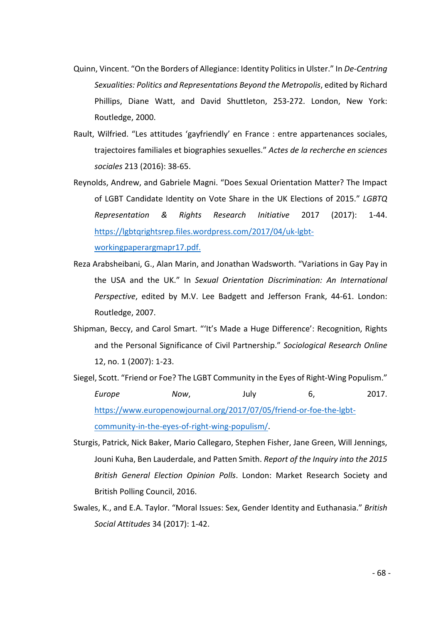- Quinn, Vincent. "On the Borders of Allegiance: Identity Politics in Ulster." In *De-Centring Sexualities: Politics and Representations Beyond the Metropolis*, edited by Richard Phillips, Diane Watt, and David Shuttleton, 253-272. London, New York: Routledge, 2000.
- Rault, Wilfried. "Les attitudes 'gayfriendly' en France : entre appartenances sociales, trajectoires familiales et biographies sexuelles." *Actes de la recherche en sciences sociales* 213 (2016): 38-65.
- Reynolds, Andrew, and Gabriele Magni. "Does Sexual Orientation Matter? The Impact of LGBT Candidate Identity on Vote Share in the UK Elections of 2015." *LGBTQ Representation & Rights Research Initiative* 2017 (2017): 1-44. https://lgbtqrightsrep.files.wordpress.com/2017/04/uk-lgbtworkingpaperargmapr17.pdf.
- Reza Arabsheibani, G., Alan Marin, and Jonathan Wadsworth. "Variations in Gay Pay in the USA and the UK." In *Sexual Orientation Discrimination: An International Perspective*, edited by M.V. Lee Badgett and Jefferson Frank, 44-61. London: Routledge, 2007.
- Shipman, Beccy, and Carol Smart. "'It's Made a Huge Difference': Recognition, Rights and the Personal Significance of Civil Partnership." *Sociological Research Online* 12, no. 1 (2007): 1-23.
- Siegel, Scott. "Friend or Foe? The LGBT Community in the Eyes of Right-Wing Populism." *Europe Now*, July 6, 2017. https://www.europenowjournal.org/2017/07/05/friend-or-foe-the-lgbtcommunity-in-the-eyes-of-right-wing-populism/.
- Sturgis, Patrick, Nick Baker, Mario Callegaro, Stephen Fisher, Jane Green, Will Jennings, Jouni Kuha, Ben Lauderdale, and Patten Smith. *Report of the Inquiry into the 2015 British General Election Opinion Polls*. London: Market Research Society and British Polling Council, 2016.
- Swales, K., and E.A. Taylor. "Moral Issues: Sex, Gender Identity and Euthanasia." *British Social Attitudes* 34 (2017): 1-42.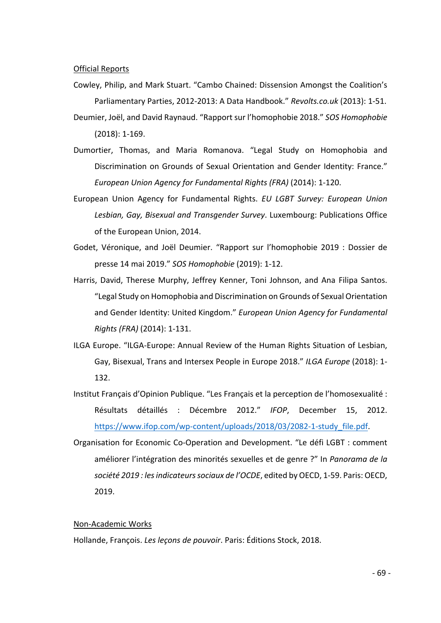Official Reports

Cowley, Philip, and Mark Stuart. "Cambo Chained: Dissension Amongst the Coalition's Parliamentary Parties, 2012-2013: A Data Handbook." *Revolts.co.uk* (2013): 1-51. Deumier, Joël, and David Raynaud. "Rapport sur l'homophobie 2018." *SOS Homophobie* 

(2018): 1-169.

- Dumortier, Thomas, and Maria Romanova. "Legal Study on Homophobia and Discrimination on Grounds of Sexual Orientation and Gender Identity: France." *European Union Agency for Fundamental Rights (FRA)* (2014): 1-120.
- European Union Agency for Fundamental Rights. *EU LGBT Survey: European Union Lesbian, Gay, Bisexual and Transgender Survey*. Luxembourg: Publications Office of the European Union, 2014.
- Godet, Véronique, and Joël Deumier. "Rapport sur l'homophobie 2019 : Dossier de presse 14 mai 2019." *SOS Homophobie* (2019): 1-12.
- Harris, David, Therese Murphy, Jeffrey Kenner, Toni Johnson, and Ana Filipa Santos. "Legal Study on Homophobia and Discrimination on Grounds of Sexual Orientation and Gender Identity: United Kingdom." *European Union Agency for Fundamental Rights (FRA)* (2014): 1-131.
- ILGA Europe. "ILGA-Europe: Annual Review of the Human Rights Situation of Lesbian, Gay, Bisexual, Trans and Intersex People in Europe 2018." *ILGA Europe* (2018): 1- 132.
- Institut Français d'Opinion Publique. "Les Français et la perception de l'homosexualité : Résultats détaillés : Décembre 2012." *IFOP*, December 15, 2012. https://www.ifop.com/wp-content/uploads/2018/03/2082-1-study\_file.pdf.
- Organisation for Economic Co-Operation and Development. "Le défi LGBT : comment améliorer l'intégration des minorités sexuelles et de genre ?" In *Panorama de la société 2019 : les indicateurs sociaux de l'OCDE*, edited by OECD, 1-59. Paris: OECD, 2019.

### Non-Academic Works

Hollande, François. *Les leçons de pouvoir*. Paris: Éditions Stock, 2018.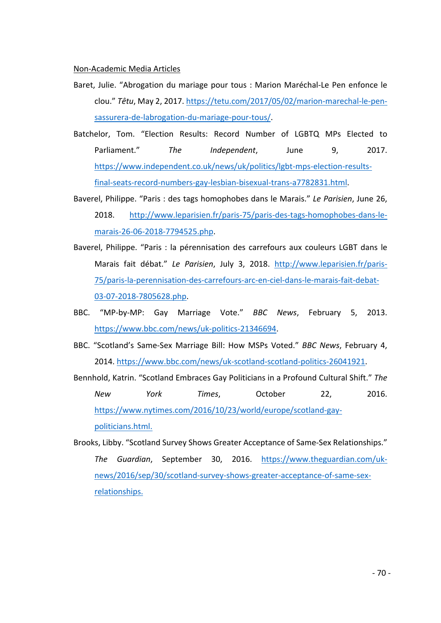Non-Academic Media Articles

- Baret, Julie. "Abrogation du mariage pour tous : Marion Maréchal-Le Pen enfonce le clou." *Têtu*, May 2, 2017. https://tetu.com/2017/05/02/marion-marechal-le-pensassurera-de-labrogation-du-mariage-pour-tous/.
- Batchelor, Tom. "Election Results: Record Number of LGBTQ MPs Elected to Parliament." *The Independent*, June 9, 2017. https://www.independent.co.uk/news/uk/politics/lgbt-mps-election-resultsfinal-seats-record-numbers-gay-lesbian-bisexual-trans-a7782831.html.
- Baverel, Philippe. "Paris : des tags homophobes dans le Marais." *Le Parisien*, June 26, 2018. http://www.leparisien.fr/paris-75/paris-des-tags-homophobes-dans-lemarais-26-06-2018-7794525.php.
- Baverel, Philippe. "Paris : la pérennisation des carrefours aux couleurs LGBT dans le Marais fait débat." *Le Parisien*, July 3, 2018. http://www.leparisien.fr/paris-75/paris-la-perennisation-des-carrefours-arc-en-ciel-dans-le-marais-fait-debat-03-07-2018-7805628.php.
- BBC. "MP-by-MP: Gay Marriage Vote." *BBC News*, February 5, 2013. https://www.bbc.com/news/uk-politics-21346694.
- BBC. "Scotland's Same-Sex Marriage Bill: How MSPs Voted." *BBC News*, February 4, 2014. https://www.bbc.com/news/uk-scotland-scotland-politics-26041921.
- Bennhold, Katrin. "Scotland Embraces Gay Politicians in a Profound Cultural Shift." *The New York Times*, October 22, 2016. https://www.nytimes.com/2016/10/23/world/europe/scotland-gaypoliticians.html.
- Brooks, Libby. "Scotland Survey Shows Greater Acceptance of Same-Sex Relationships." *The Guardian*, September 30, 2016. https://www.theguardian.com/uknews/2016/sep/30/scotland-survey-shows-greater-acceptance-of-same-sexrelationships.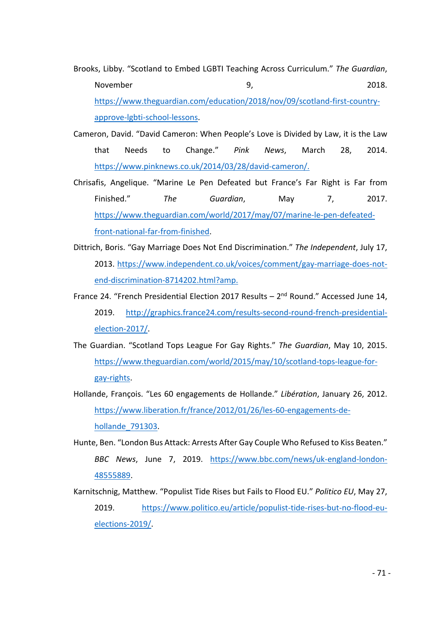- Brooks, Libby. "Scotland to Embed LGBTI Teaching Across Curriculum." *The Guardian*, November 2018. **9.** 2018. https://www.theguardian.com/education/2018/nov/09/scotland-first-countryapprove-lgbti-school-lessons.
- Cameron, David. "David Cameron: When People's Love is Divided by Law, it is the Law that Needs to Change." *Pink News*, March 28, 2014. https://www.pinknews.co.uk/2014/03/28/david-cameron/.
- Chrisafis, Angelique. "Marine Le Pen Defeated but France's Far Right is Far from Finished." *The Guardian*, May 7, 2017. https://www.theguardian.com/world/2017/may/07/marine-le-pen-defeatedfront-national-far-from-finished.
- Dittrich, Boris. "Gay Marriage Does Not End Discrimination." *The Independent*, July 17, 2013. https://www.independent.co.uk/voices/comment/gay-marriage-does-notend-discrimination-8714202.html?amp.
- France 24. "French Presidential Election 2017 Results  $2<sup>nd</sup>$  Round." Accessed June 14, 2019. http://graphics.france24.com/results-second-round-french-presidentialelection-2017/.
- The Guardian. "Scotland Tops League For Gay Rights." *The Guardian*, May 10, 2015. https://www.theguardian.com/world/2015/may/10/scotland-tops-league-forgay-rights.
- Hollande, François. "Les 60 engagements de Hollande." *Libération*, January 26, 2012. https://www.liberation.fr/france/2012/01/26/les-60-engagements-dehollande\_791303.
- Hunte, Ben. "London Bus Attack: Arrests After Gay Couple Who Refused to Kiss Beaten." *BBC News*, June 7, 2019. https://www.bbc.com/news/uk-england-london-48555889.
- Karnitschnig, Matthew. "Populist Tide Rises but Fails to Flood EU." *Politico EU*, May 27, 2019. https://www.politico.eu/article/populist-tide-rises-but-no-flood-euelections-2019/.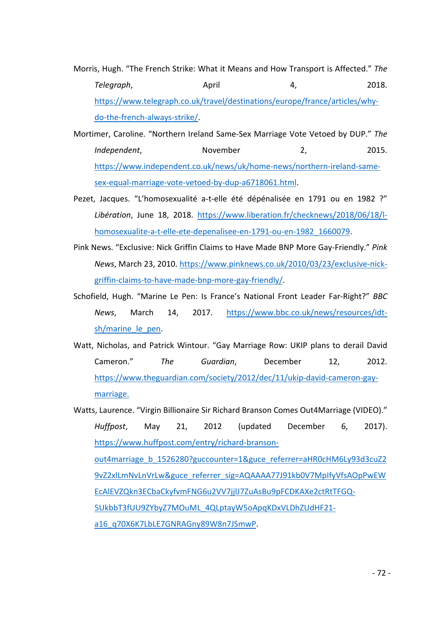- Morris, Hugh. "The French Strike: What it Means and How Transport is Affected." *The Telegraph*, April 4, 2018. https://www.telegraph.co.uk/travel/destinations/europe/france/articles/whydo-the-french-always-strike/.
- Mortimer, Caroline. "Northern Ireland Same-Sex Marriage Vote Vetoed by DUP." *The Independent*, November 2, 2015. https://www.independent.co.uk/news/uk/home-news/northern-ireland-samesex-equal-marriage-vote-vetoed-by-dup-a6718061.html.
- Pezet, Jacques. "L'homosexualité a-t-elle été dépénalisée en 1791 ou en 1982 ?" *Libération*, June 18, 2018. https://www.liberation.fr/checknews/2018/06/18/lhomosexualite-a-t-elle-ete-depenalisee-en-1791-ou-en-1982\_1660079.
- Pink News. "Exclusive: Nick Griffin Claims to Have Made BNP More Gay-Friendly." *Pink News*, March 23, 2010. https://www.pinknews.co.uk/2010/03/23/exclusive-nickgriffin-claims-to-have-made-bnp-more-gay-friendly/.
- Schofield, Hugh. "Marine Le Pen: Is France's National Front Leader Far-Right?" *BBC News*, March 14, 2017. https://www.bbc.co.uk/news/resources/idtsh/marine\_le\_pen.
- Watt, Nicholas, and Patrick Wintour. "Gay Marriage Row: UKIP plans to derail David Cameron." *The Guardian*, December 12, 2012. https://www.theguardian.com/society/2012/dec/11/ukip-david-cameron-gaymarriage.

Watts, Laurence. "Virgin Billionaire Sir Richard Branson Comes Out4Marriage (VIDEO)." *Huffpost*, May 21, 2012 (updated December 6, 2017). https://www.huffpost.com/entry/richard-bransonout4marriage\_b\_1526280?guccounter=1&guce\_referrer=aHR0cHM6Ly93d3cuZ2 9vZ2xlLmNvLnVrLw&guce\_referrer\_sig=AQAAAA77J91kb0V7MpIfyVfsAOpPwEW EcAlEVZQkn3ECbaCkyfvmFNG6u2VV7jjlJ7ZuAsBu9pFCDKAXe2ctRtTFGQ-5UkbbT3fUU9ZYbyZ7MOuML\_4QLptayW5oApqKDxVLDhZUdHF21 a16\_q70X6K7LbLE7GNRAGny89W8n7JSmwP.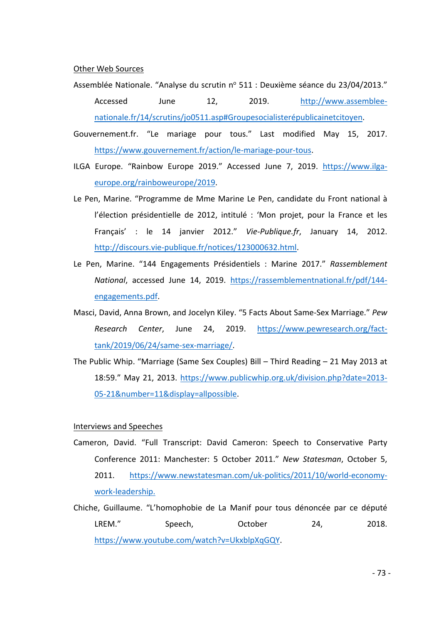## Other Web Sources

- Assemblée Nationale. "Analyse du scrutin nº 511 : Deuxième séance du 23/04/2013." Accessed June 12, 2019. http://www.assembleenationale.fr/14/scrutins/jo0511.asp#Groupesocialisterépublicainetcitoyen.
- Gouvernement.fr. "Le mariage pour tous." Last modified May 15, 2017. https://www.gouvernement.fr/action/le-mariage-pour-tous.
- ILGA Europe. "Rainbow Europe 2019." Accessed June 7, 2019. https://www.ilgaeurope.org/rainboweurope/2019.
- Le Pen, Marine. "Programme de Mme Marine Le Pen, candidate du Front national à l'élection présidentielle de 2012, intitulé : 'Mon projet, pour la France et les Français' : le 14 janvier 2012." *Vie-Publique.fr*, January 14, 2012. http://discours.vie-publique.fr/notices/123000632.html.
- Le Pen, Marine. "144 Engagements Présidentiels : Marine 2017." *Rassemblement National*, accessed June 14, 2019. https://rassemblementnational.fr/pdf/144 engagements.pdf.
- Masci, David, Anna Brown, and Jocelyn Kiley. "5 Facts About Same-Sex Marriage." *Pew Research Center*, June 24, 2019. https://www.pewresearch.org/facttank/2019/06/24/same-sex-marriage/.
- The Public Whip. "Marriage (Same Sex Couples) Bill Third Reading 21 May 2013 at 18:59." May 21, 2013. https://www.publicwhip.org.uk/division.php?date=2013- 05-21&number=11&display=allpossible.

## Interviews and Speeches

- Cameron, David. "Full Transcript: David Cameron: Speech to Conservative Party Conference 2011: Manchester: 5 October 2011." *New Statesman*, October 5, 2011. https://www.newstatesman.com/uk-politics/2011/10/world-economywork-leadership.
- Chiche, Guillaume. "L'homophobie de La Manif pour tous dénoncée par ce député LREM." Speech, Cotober 24, 2018. https://www.youtube.com/watch?v=UkxblpXqGQY.